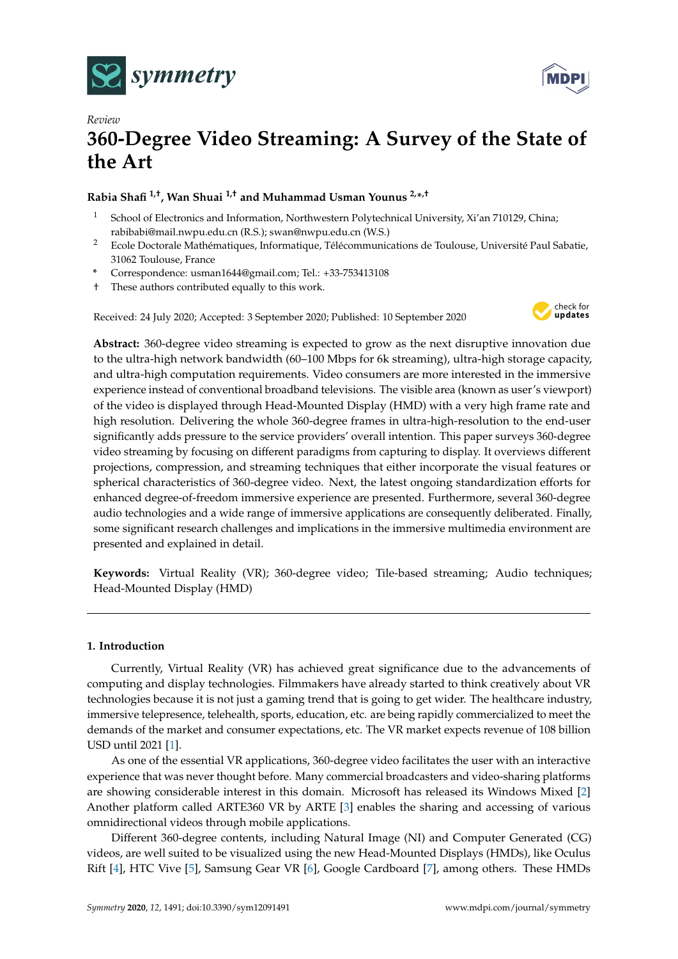



# *Review* **360-Degree Video Streaming: A Survey of the State of the Art**

# **Rabia Shafi 1,†, Wan Shuai 1,† and Muhammad Usman Younus 2,\* ,†**

- <sup>1</sup> School of Electronics and Information, Northwestern Polytechnical University, Xi'an 710129, China; rabibabi@mail.nwpu.edu.cn (R.S.); swan@nwpu.edu.cn (W.S.)
- <sup>2</sup> Ecole Doctorale Mathématiques, Informatique, Télécommunications de Toulouse, Université Paul Sabatie, 31062 Toulouse, France
- **\*** Correspondence: usman1644@gmail.com; Tel.: +33-753413108
- † These authors contributed equally to this work.

Received: 24 July 2020; Accepted: 3 September 2020; Published: 10 September 2020



**Abstract:** 360-degree video streaming is expected to grow as the next disruptive innovation due to the ultra-high network bandwidth (60–100 Mbps for 6k streaming), ultra-high storage capacity, and ultra-high computation requirements. Video consumers are more interested in the immersive experience instead of conventional broadband televisions. The visible area (known as user's viewport) of the video is displayed through Head-Mounted Display (HMD) with a very high frame rate and high resolution. Delivering the whole 360-degree frames in ultra-high-resolution to the end-user significantly adds pressure to the service providers' overall intention. This paper surveys 360-degree video streaming by focusing on different paradigms from capturing to display. It overviews different projections, compression, and streaming techniques that either incorporate the visual features or spherical characteristics of 360-degree video. Next, the latest ongoing standardization efforts for enhanced degree-of-freedom immersive experience are presented. Furthermore, several 360-degree audio technologies and a wide range of immersive applications are consequently deliberated. Finally, some significant research challenges and implications in the immersive multimedia environment are presented and explained in detail.

**Keywords:** Virtual Reality (VR); 360-degree video; Tile-based streaming; Audio techniques; Head-Mounted Display (HMD)

# **1. Introduction**

Currently, Virtual Reality (VR) has achieved great significance due to the advancements of computing and display technologies. Filmmakers have already started to think creatively about VR technologies because it is not just a gaming trend that is going to get wider. The healthcare industry, immersive telepresence, telehealth, sports, education, etc. are being rapidly commercialized to meet the demands of the market and consumer expectations, etc. The VR market expects revenue of 108 billion USD until 2021 [\[1\]](#page-22-0).

As one of the essential VR applications, 360-degree video facilitates the user with an interactive experience that was never thought before. Many commercial broadcasters and video-sharing platforms are showing considerable interest in this domain. Microsoft has released its Windows Mixed [\[2\]](#page-22-1) Another platform called ARTE360 VR by ARTE [\[3\]](#page-22-2) enables the sharing and accessing of various omnidirectional videos through mobile applications.

Different 360-degree contents, including Natural Image (NI) and Computer Generated (CG) videos, are well suited to be visualized using the new Head-Mounted Displays (HMDs), like Oculus Rift [\[4\]](#page-22-3), HTC Vive [\[5\]](#page-22-4), Samsung Gear VR [\[6\]](#page-22-5), Google Cardboard [\[7\]](#page-22-6), among others. These HMDs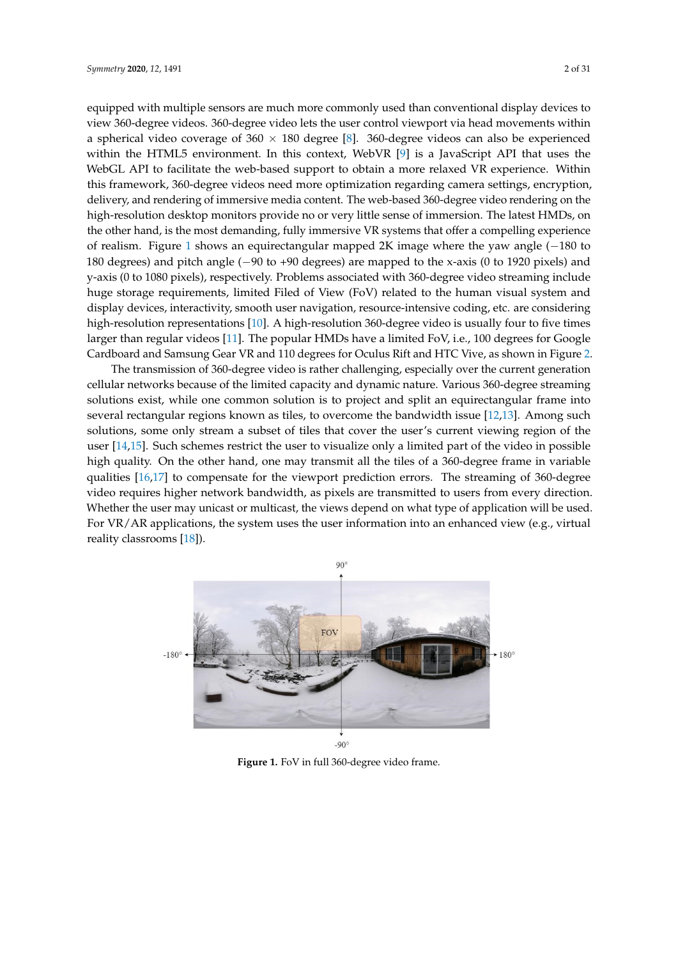equipped with multiple sensors are much more commonly used than conventional display devices to view 360-degree videos. 360-degree video lets the user control viewport via head movements within a spherical video coverage of  $360 \times 180$  degree [\[8\]](#page-22-7). 360-degree videos can also be experienced within the HTML5 environment. In this context, WebVR [\[9\]](#page-22-8) is a JavaScript API that uses the WebGL API to facilitate the web-based support to obtain a more relaxed VR experience. Within this framework, 360-degree videos need more optimization regarding camera settings, encryption, delivery, and rendering of immersive media content. The web-based 360-degree video rendering on the high-resolution desktop monitors provide no or very little sense of immersion. The latest HMDs, on the other hand, is the most demanding, fully immersive VR systems that offer a compelling experience of realism. Figure [1](#page-1-0) shows an equirectangular mapped 2K image where the yaw angle (−180 to 180 degrees) and pitch angle (−90 to +90 degrees) are mapped to the x-axis (0 to 1920 pixels) and y-axis (0 to 1080 pixels), respectively. Problems associated with 360-degree video streaming include huge storage requirements, limited Filed of View (FoV) related to the human visual system and display devices, interactivity, smooth user navigation, resource-intensive coding, etc. are considering high-resolution representations [\[10\]](#page-22-9). A high-resolution 360-degree video is usually four to five times larger than regular videos [\[11\]](#page-22-10). The popular HMDs have a limited FoV, i.e., 100 degrees for Google Cardboard and Samsung Gear VR and 110 degrees for Oculus Rift and HTC Vive, as shown in Figure [2.](#page-2-0)

The transmission of 360-degree video is rather challenging, especially over the current generation cellular networks because of the limited capacity and dynamic nature. Various 360-degree streaming solutions exist, while one common solution is to project and split an equirectangular frame into several rectangular regions known as tiles, to overcome the bandwidth issue [\[12](#page-22-11)[,13\]](#page-23-0). Among such solutions, some only stream a subset of tiles that cover the user's current viewing region of the user [\[14,](#page-23-1)[15\]](#page-23-2). Such schemes restrict the user to visualize only a limited part of the video in possible high quality. On the other hand, one may transmit all the tiles of a 360-degree frame in variable qualities [\[16,](#page-23-3)[17\]](#page-23-4) to compensate for the viewport prediction errors. The streaming of 360-degree video requires higher network bandwidth, as pixels are transmitted to users from every direction. Whether the user may unicast or multicast, the views depend on what type of application will be used. For VR/AR applications, the system uses the user information into an enhanced view (e.g., virtual reality classrooms [\[18\]](#page-23-5)).

<span id="page-1-0"></span>

**Figure 1.** FoV in full 360-degree video frame.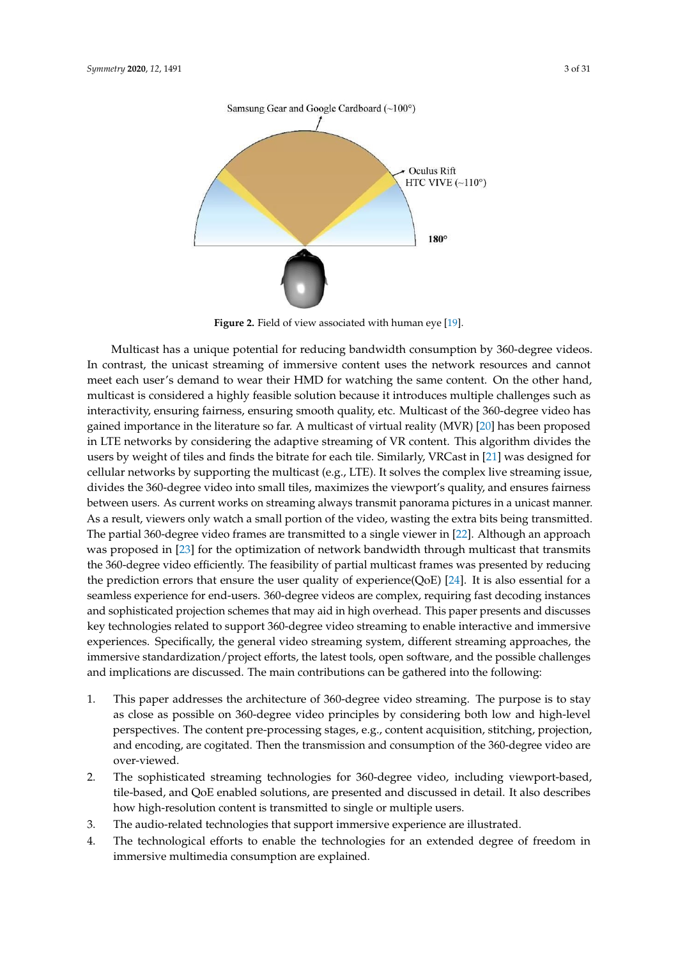<span id="page-2-0"></span>

Figure 2. Field of view associated with human eye [\[19\]](#page-23-6).

Multicast has a unique potential for reducing bandwidth consumption by 360-degree videos. In contrast, the unicast streaming of immersive content uses the network resources and cannot meet each user's demand to wear their HMD for watching the same content. On the other hand, multicast is considered a highly feasible solution because it introduces multiple challenges such as interactivity, ensuring fairness, ensuring smooth quality, etc. Multicast of the 360-degree video has gained importance in the literature so far. A multicast of virtual reality (MVR) [\[20\]](#page-23-7) has been proposed in LTE networks by considering the adaptive streaming of VR content. This algorithm divides the users by weight of tiles and finds the bitrate for each tile. Similarly, VRCast in [\[21\]](#page-23-8) was designed for cellular networks by supporting the multicast (e.g., LTE). It solves the complex live streaming issue, divides the 360-degree video into small tiles, maximizes the viewport's quality, and ensures fairness between users. As current works on streaming always transmit panorama pictures in a unicast manner. As a result, viewers only watch a small portion of the video, wasting the extra bits being transmitted. The partial 360-degree video frames are transmitted to a single viewer in [\[22\]](#page-23-9). Although an approach was proposed in [\[23\]](#page-23-10) for the optimization of network bandwidth through multicast that transmits the 360-degree video efficiently. The feasibility of partial multicast frames was presented by reducing the prediction errors that ensure the user quality of experience(QoE) [\[24\]](#page-23-11). It is also essential for a seamless experience for end-users. 360-degree videos are complex, requiring fast decoding instances and sophisticated projection schemes that may aid in high overhead. This paper presents and discusses key technologies related to support 360-degree video streaming to enable interactive and immersive experiences. Specifically, the general video streaming system, different streaming approaches, the immersive standardization/project efforts, the latest tools, open software, and the possible challenges and implications are discussed. The main contributions can be gathered into the following:

- 1. This paper addresses the architecture of 360-degree video streaming. The purpose is to stay as close as possible on 360-degree video principles by considering both low and high-level perspectives. The content pre-processing stages, e.g., content acquisition, stitching, projection, and encoding, are cogitated. Then the transmission and consumption of the 360-degree video are over-viewed.
- 2. The sophisticated streaming technologies for 360-degree video, including viewport-based, tile-based, and QoE enabled solutions, are presented and discussed in detail. It also describes how high-resolution content is transmitted to single or multiple users.
- 3. The audio-related technologies that support immersive experience are illustrated.
- 4. The technological efforts to enable the technologies for an extended degree of freedom in immersive multimedia consumption are explained.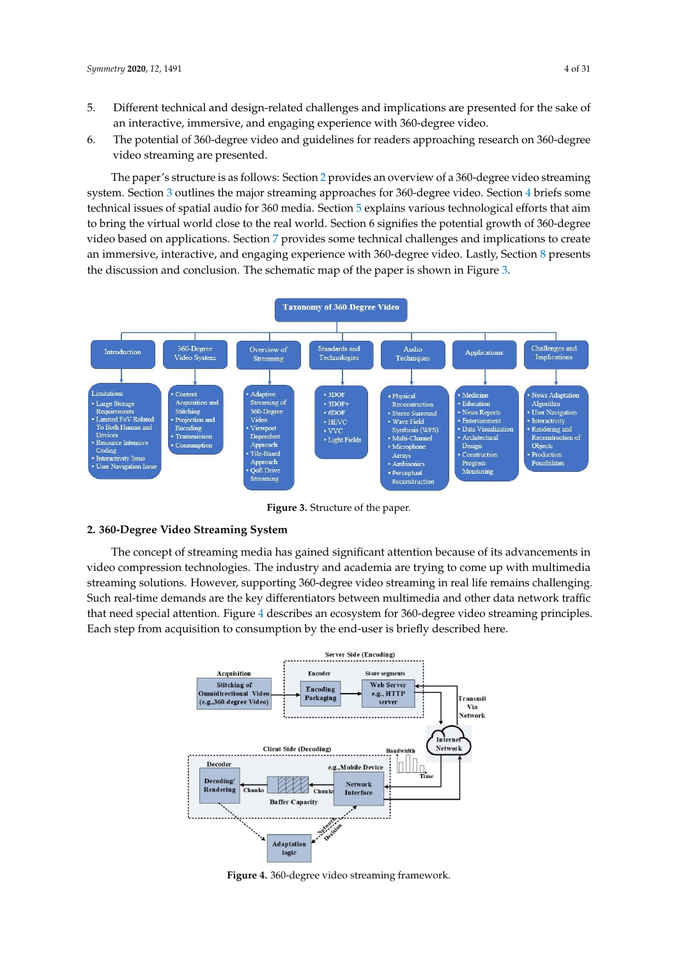- 5. Different technical and design-related challenges and implications are presented for the sake of an interactive, immersive, and engaging experience with 360-degree video.
- 6. The potential of 360-degree video and guidelines for readers approaching research on 360-degree video streaming are presented.

The paper's structure is as follows: Section [2](#page-3-0) provides an overview of a 360-degree video streaming system. Section [3](#page-8-0) outlines the major streaming approaches for 360-degree video. Section [4](#page-14-0) briefs some technical issues of spatial audio for 360 media. Section [5](#page-16-0) explains various technological efforts that aim to bring the virtual world close to the real world. Section 6 signifies the potential growth of 360-degree video based on applications. Section [7](#page-20-0) provides some technical challenges and implications to create an immersive, interactive, and engaging experience with 360-degree video. Lastly, Section [8](#page-21-0) presents the discussion and conclusion. The schematic map of the paper is shown in Figure [3.](#page-3-1)

<span id="page-3-1"></span>

**Figure 3.** Structure of the paper.

## <span id="page-3-0"></span>**2. 360-Degree Video Streaming System**

The concept of streaming media has gained significant attention because of its advancements in video compression technologies. The industry and academia are trying to come up with multimedia streaming solutions. However, supporting 360-degree video streaming in real life remains challenging. Such real-time demands are the key differentiators between multimedia and other data network traffic that need special attention. Figure [4](#page-3-2) describes an ecosystem for 360-degree video streaming principles. Each step from acquisition to consumption by the end-user is briefly described here.

<span id="page-3-2"></span>

**Figure 4.** 360-degree video streaming framework.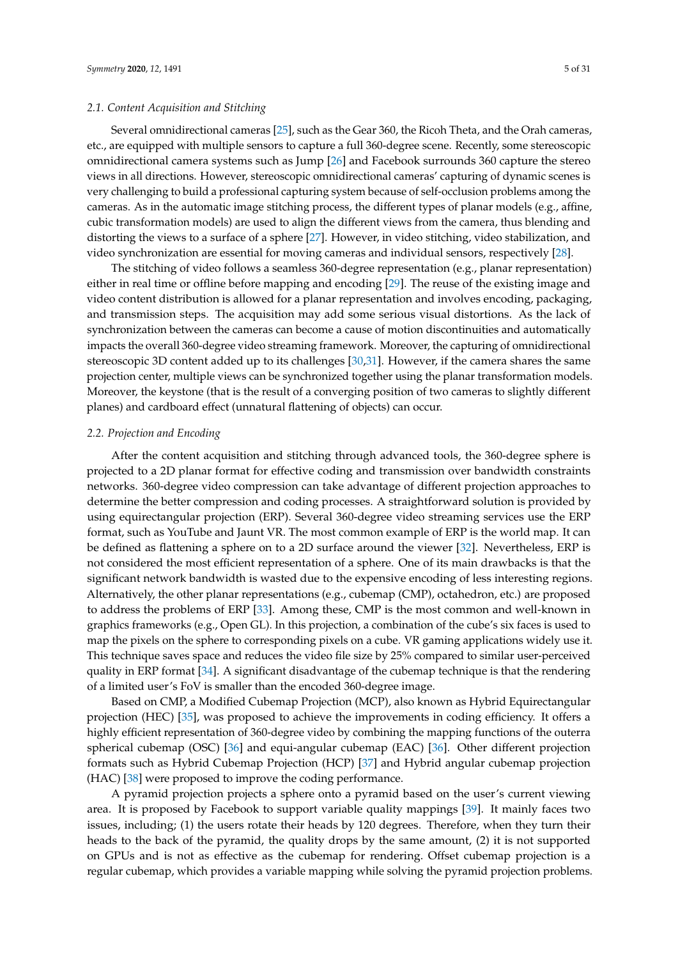## *2.1. Content Acquisition and Stitching*

Several omnidirectional cameras [\[25\]](#page-23-12), such as the Gear 360, the Ricoh Theta, and the Orah cameras, etc., are equipped with multiple sensors to capture a full 360-degree scene. Recently, some stereoscopic omnidirectional camera systems such as Jump [\[26\]](#page-23-13) and Facebook surrounds 360 capture the stereo views in all directions. However, stereoscopic omnidirectional cameras' capturing of dynamic scenes is very challenging to build a professional capturing system because of self-occlusion problems among the cameras. As in the automatic image stitching process, the different types of planar models (e.g., affine, cubic transformation models) are used to align the different views from the camera, thus blending and distorting the views to a surface of a sphere [\[27\]](#page-23-14). However, in video stitching, video stabilization, and video synchronization are essential for moving cameras and individual sensors, respectively [\[28\]](#page-23-15).

The stitching of video follows a seamless 360-degree representation (e.g., planar representation) either in real time or offline before mapping and encoding [\[29\]](#page-23-16). The reuse of the existing image and video content distribution is allowed for a planar representation and involves encoding, packaging, and transmission steps. The acquisition may add some serious visual distortions. As the lack of synchronization between the cameras can become a cause of motion discontinuities and automatically impacts the overall 360-degree video streaming framework. Moreover, the capturing of omnidirectional stereoscopic 3D content added up to its challenges [\[30](#page-23-17)[,31\]](#page-23-18). However, if the camera shares the same projection center, multiple views can be synchronized together using the planar transformation models. Moreover, the keystone (that is the result of a converging position of two cameras to slightly different planes) and cardboard effect (unnatural flattening of objects) can occur.

#### *2.2. Projection and Encoding*

After the content acquisition and stitching through advanced tools, the 360-degree sphere is projected to a 2D planar format for effective coding and transmission over bandwidth constraints networks. 360-degree video compression can take advantage of different projection approaches to determine the better compression and coding processes. A straightforward solution is provided by using equirectangular projection (ERP). Several 360-degree video streaming services use the ERP format, such as YouTube and Jaunt VR. The most common example of ERP is the world map. It can be defined as flattening a sphere on to a 2D surface around the viewer [\[32\]](#page-23-19). Nevertheless, ERP is not considered the most efficient representation of a sphere. One of its main drawbacks is that the significant network bandwidth is wasted due to the expensive encoding of less interesting regions. Alternatively, the other planar representations (e.g., cubemap (CMP), octahedron, etc.) are proposed to address the problems of ERP [\[33\]](#page-24-0). Among these, CMP is the most common and well-known in graphics frameworks (e.g., Open GL). In this projection, a combination of the cube's six faces is used to map the pixels on the sphere to corresponding pixels on a cube. VR gaming applications widely use it. This technique saves space and reduces the video file size by 25% compared to similar user-perceived quality in ERP format [\[34\]](#page-24-1). A significant disadvantage of the cubemap technique is that the rendering of a limited user's FoV is smaller than the encoded 360-degree image.

Based on CMP, a Modified Cubemap Projection (MCP), also known as Hybrid Equirectangular projection (HEC) [\[35\]](#page-24-2), was proposed to achieve the improvements in coding efficiency. It offers a highly efficient representation of 360-degree video by combining the mapping functions of the outerra spherical cubemap (OSC) [\[36\]](#page-24-3) and equi-angular cubemap (EAC) [\[36\]](#page-24-3). Other different projection formats such as Hybrid Cubemap Projection (HCP) [\[37\]](#page-24-4) and Hybrid angular cubemap projection (HAC) [\[38\]](#page-24-5) were proposed to improve the coding performance.

A pyramid projection projects a sphere onto a pyramid based on the user's current viewing area. It is proposed by Facebook to support variable quality mappings [\[39\]](#page-24-6). It mainly faces two issues, including; (1) the users rotate their heads by 120 degrees. Therefore, when they turn their heads to the back of the pyramid, the quality drops by the same amount, (2) it is not supported on GPUs and is not as effective as the cubemap for rendering. Offset cubemap projection is a regular cubemap, which provides a variable mapping while solving the pyramid projection problems.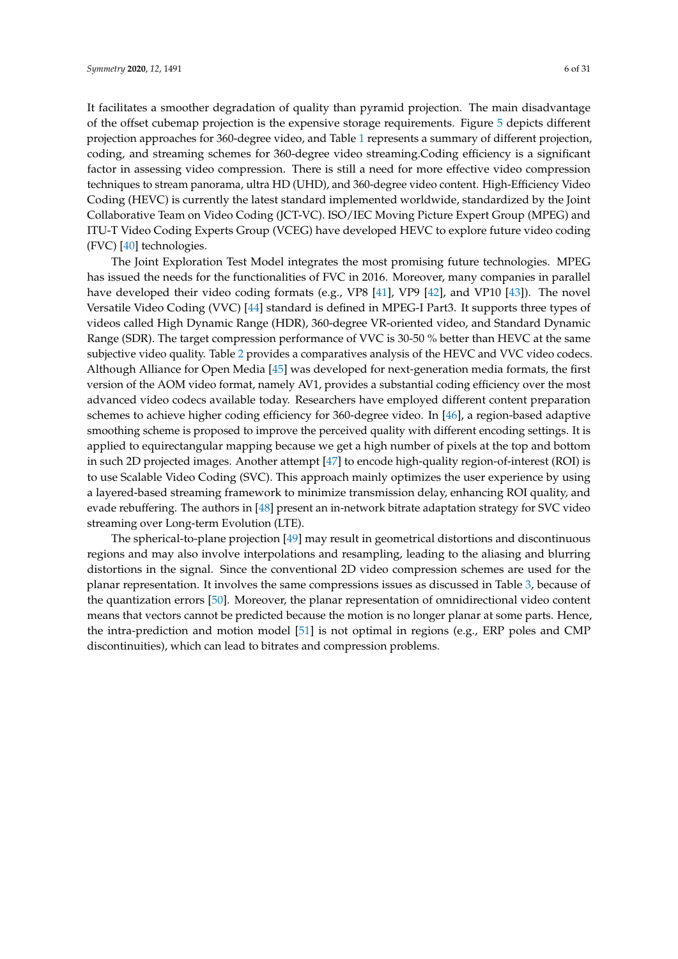It facilitates a smoother degradation of quality than pyramid projection. The main disadvantage of the offset cubemap projection is the expensive storage requirements. Figure [5](#page-7-0) depicts different projection approaches for 360-degree video, and Table [1](#page-6-0) represents a summary of different projection, coding, and streaming schemes for 360-degree video streaming.Coding efficiency is a significant factor in assessing video compression. There is still a need for more effective video compression techniques to stream panorama, ultra HD (UHD), and 360-degree video content. High-Efficiency Video Coding (HEVC) is currently the latest standard implemented worldwide, standardized by the Joint Collaborative Team on Video Coding (JCT-VC). ISO/IEC Moving Picture Expert Group (MPEG) and ITU-T Video Coding Experts Group (VCEG) have developed HEVC to explore future video coding  $(FVC)$  [\[40\]](#page-24-7) technologies.

The Joint Exploration Test Model integrates the most promising future technologies. MPEG has issued the needs for the functionalities of FVC in 2016. Moreover, many companies in parallel have developed their video coding formats (e.g., VP8 [\[41\]](#page-24-8), VP9 [\[42\]](#page-24-9), and VP10 [\[43\]](#page-24-10)). The novel Versatile Video Coding (VVC) [\[44\]](#page-24-11) standard is defined in MPEG-I Part3. It supports three types of videos called High Dynamic Range (HDR), 360-degree VR-oriented video, and Standard Dynamic Range (SDR). The target compression performance of VVC is 30-50 % better than HEVC at the same subjective video quality. Table [2](#page-6-1) provides a comparatives analysis of the HEVC and VVC video codecs. Although Alliance for Open Media [\[45\]](#page-24-12) was developed for next-generation media formats, the first version of the AOM video format, namely AV1, provides a substantial coding efficiency over the most advanced video codecs available today. Researchers have employed different content preparation schemes to achieve higher coding efficiency for 360-degree video. In [\[46\]](#page-24-13), a region-based adaptive smoothing scheme is proposed to improve the perceived quality with different encoding settings. It is applied to equirectangular mapping because we get a high number of pixels at the top and bottom in such 2D projected images. Another attempt [\[47\]](#page-24-14) to encode high-quality region-of-interest (ROI) is to use Scalable Video Coding (SVC). This approach mainly optimizes the user experience by using a layered-based streaming framework to minimize transmission delay, enhancing ROI quality, and evade rebuffering. The authors in [\[48\]](#page-24-15) present an in-network bitrate adaptation strategy for SVC video streaming over Long-term Evolution (LTE).

The spherical-to-plane projection [\[49\]](#page-24-16) may result in geometrical distortions and discontinuous regions and may also involve interpolations and resampling, leading to the aliasing and blurring distortions in the signal. Since the conventional 2D video compression schemes are used for the planar representation. It involves the same compressions issues as discussed in Table [3,](#page-7-1) because of the quantization errors [\[50\]](#page-24-17). Moreover, the planar representation of omnidirectional video content means that vectors cannot be predicted because the motion is no longer planar at some parts. Hence, the intra-prediction and motion model [\[51\]](#page-24-18) is not optimal in regions (e.g., ERP poles and CMP discontinuities), which can lead to bitrates and compression problems.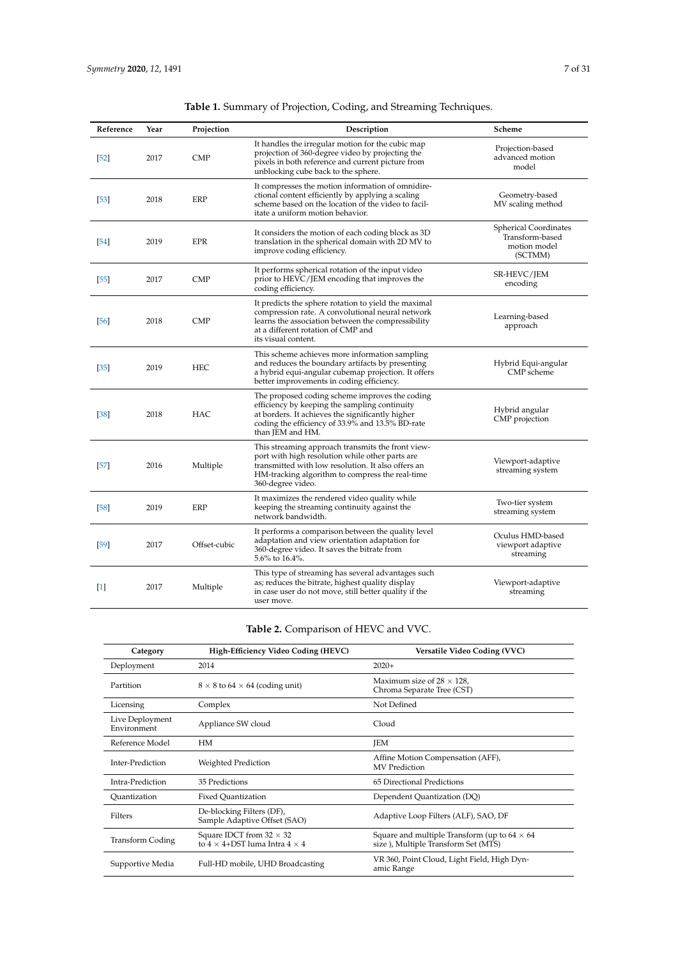<span id="page-6-0"></span>

| Reference | Year | Projection   | Description                                                                                                                                                                                                                        | Scheme                                                                     |
|-----------|------|--------------|------------------------------------------------------------------------------------------------------------------------------------------------------------------------------------------------------------------------------------|----------------------------------------------------------------------------|
| [52]      | 2017 | <b>CMP</b>   | It handles the irregular motion for the cubic map<br>projection of 360-degree video by projecting the<br>pixels in both reference and current picture from<br>unblocking cube back to the sphere.                                  | Projection-based<br>advanced motion<br>model                               |
| [53]      | 2018 | ERP          | It compresses the motion information of omnidire-<br>ctional content efficiently by applying a scaling<br>scheme based on the location of the video to facil-<br>itate a uniform motion behavior.                                  | Geometry-based<br>MV scaling method                                        |
| [54]      | 2019 | <b>EPR</b>   | It considers the motion of each coding block as 3D<br>translation in the spherical domain with 2D MV to<br>improve coding efficiency.                                                                                              | <b>Spherical Coordinates</b><br>Transform-based<br>motion model<br>(SCTMM) |
| [55]      | 2017 | <b>CMP</b>   | It performs spherical rotation of the input video<br>prior to HEVC/JEM encoding that improves the<br>coding efficiency.                                                                                                            | SR-HEVC/JEM<br>encoding                                                    |
| [56]      | 2018 | <b>CMP</b>   | It predicts the sphere rotation to yield the maximal<br>compression rate. A convolutional neural network<br>learns the association between the compressibility<br>at a different rotation of CMP and<br>its visual content.        | Learning-based<br>approach                                                 |
| [35]      | 2019 | <b>HEC</b>   | This scheme achieves more information sampling<br>and reduces the boundary artifacts by presenting<br>a hybrid equi-angular cubemap projection. It offers<br>better improvements in coding efficiency.                             | Hybrid Equi-angular<br>CMP scheme                                          |
| [38]      | 2018 | HAC          | The proposed coding scheme improves the coding<br>efficiency by keeping the sampling continuity<br>at borders. It achieves the significantly higher<br>coding the efficiency of 33.9% and 13.5% BD-rate<br>than JEM and HM.        | Hybrid angular<br>CMP projection                                           |
| $[57]$    | 2016 | Multiple     | This streaming approach transmits the front view-<br>port with high resolution while other parts are<br>transmitted with low resolution. It also offers an<br>HM-tracking algorithm to compress the real-time<br>360-degree video. | Viewport-adaptive<br>streaming system                                      |
| $[58]$    | 2019 | ERP          | It maximizes the rendered video quality while<br>keeping the streaming continuity against the<br>network bandwidth.                                                                                                                | Two-tier system<br>streaming system                                        |
| [59]      | 2017 | Offset-cubic | It performs a comparison between the quality level<br>adaptation and view orientation adaptation for<br>360-degree video. It saves the bitrate from<br>$5.6\%$ to $16.4\%$ .                                                       | Oculus HMD-based<br>viewport adaptive<br>streaming                         |
| $[1]$     | 2017 | Multiple     | This type of streaming has several advantages such<br>as; reduces the bitrate, highest quality display<br>in case user do not move, still better quality if the<br>user move.                                                      | Viewport-adaptive<br>streaming                                             |

**Table 2.** Comparison of HEVC and VVC.

<span id="page-6-1"></span>

| Category                       | High-Efficiency Video Coding (HEVC)                                              | Versatile Video Coding (VVC)                                                                 |
|--------------------------------|----------------------------------------------------------------------------------|----------------------------------------------------------------------------------------------|
| Deployment                     | 2014                                                                             | $2020+$                                                                                      |
| Partition                      | $8 \times 8$ to 64 $\times$ 64 (coding unit)                                     | Maximum size of $28 \times 128$ ,<br>Chroma Separate Tree (CST)                              |
| Licensing                      | Complex                                                                          | Not Defined                                                                                  |
| Live Deployment<br>Environment | Appliance SW cloud                                                               | Cloud                                                                                        |
| Reference Model                | <b>HM</b>                                                                        | <b>JEM</b>                                                                                   |
| Inter-Prediction               | Weighted Prediction                                                              | Affine Motion Compensation (AFF),<br>MV Prediction                                           |
| Intra-Prediction               | 35 Predictions                                                                   | 65 Directional Predictions                                                                   |
| Ouantization                   | Fixed Ouantization                                                               | Dependent Quantization (DQ)                                                                  |
| Filters                        | De-blocking Filters (DF),<br>Sample Adaptive Offset (SAO)                        | Adaptive Loop Filters (ALF), SAO, DF                                                         |
| <b>Transform Coding</b>        | Square IDCT from $32 \times 32$<br>to $4 \times 4 +$ DST luma Intra $4 \times 4$ | Square and multiple Transform (up to $64 \times 64$ )<br>size), Multiple Transform Set (MTS) |
| Supportive Media               | Full-HD mobile, UHD Broadcasting                                                 | VR 360, Point Cloud, Light Field, High Dyn-<br>amic Range                                    |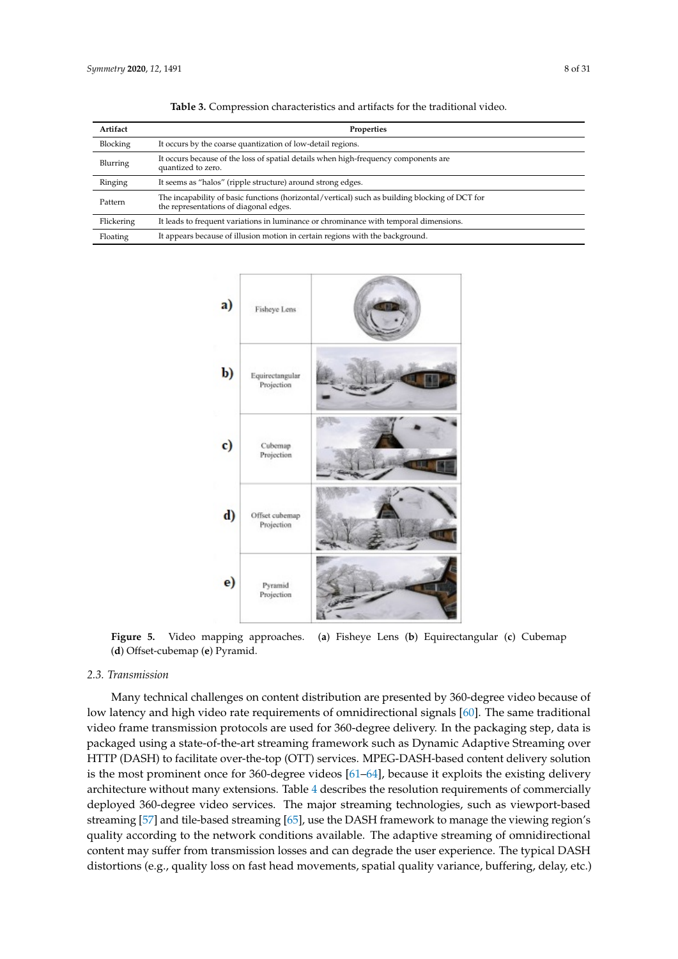<span id="page-7-1"></span>

| Artifact   | Properties                                                                                                                               |
|------------|------------------------------------------------------------------------------------------------------------------------------------------|
| Blocking   | It occurs by the coarse quantization of low-detail regions.                                                                              |
| Blurring   | It occurs because of the loss of spatial details when high-frequency components are<br>quantized to zero.                                |
| Ringing    | It seems as "halos" (ripple structure) around strong edges.                                                                              |
| Pattern    | The incapability of basic functions (horizontal/vertical) such as building blocking of DCT for<br>the representations of diagonal edges. |
| Flickering | It leads to frequent variations in luminance or chrominance with temporal dimensions.                                                    |
| Floating   | It appears because of illusion motion in certain regions with the background.                                                            |

**Table 3.** Compression characteristics and artifacts for the traditional video.

<span id="page-7-0"></span>

**Figure 5.** Video mapping approaches. (**a**) Fisheye Lens (**b**) Equirectangular (**c**) Cubemap (**d**) Offset-cubemap (**e**) Pyramid.

#### *2.3. Transmission*

Many technical challenges on content distribution are presented by 360-degree video because of low latency and high video rate requirements of omnidirectional signals [\[60\]](#page-25-6). The same traditional video frame transmission protocols are used for 360-degree delivery. In the packaging step, data is packaged using a state-of-the-art streaming framework such as Dynamic Adaptive Streaming over HTTP (DASH) to facilitate over-the-top (OTT) services. MPEG-DASH-based content delivery solution is the most prominent once for 360-degree videos [\[61–](#page-25-7)[64\]](#page-25-8), because it exploits the existing delivery architecture without many extensions. Table [4](#page-8-1) describes the resolution requirements of commercially deployed 360-degree video services. The major streaming technologies, such as viewport-based streaming [\[57\]](#page-25-3) and tile-based streaming [\[65\]](#page-25-9), use the DASH framework to manage the viewing region's quality according to the network conditions available. The adaptive streaming of omnidirectional content may suffer from transmission losses and can degrade the user experience. The typical DASH distortions (e.g., quality loss on fast head movements, spatial quality variance, buffering, delay, etc.)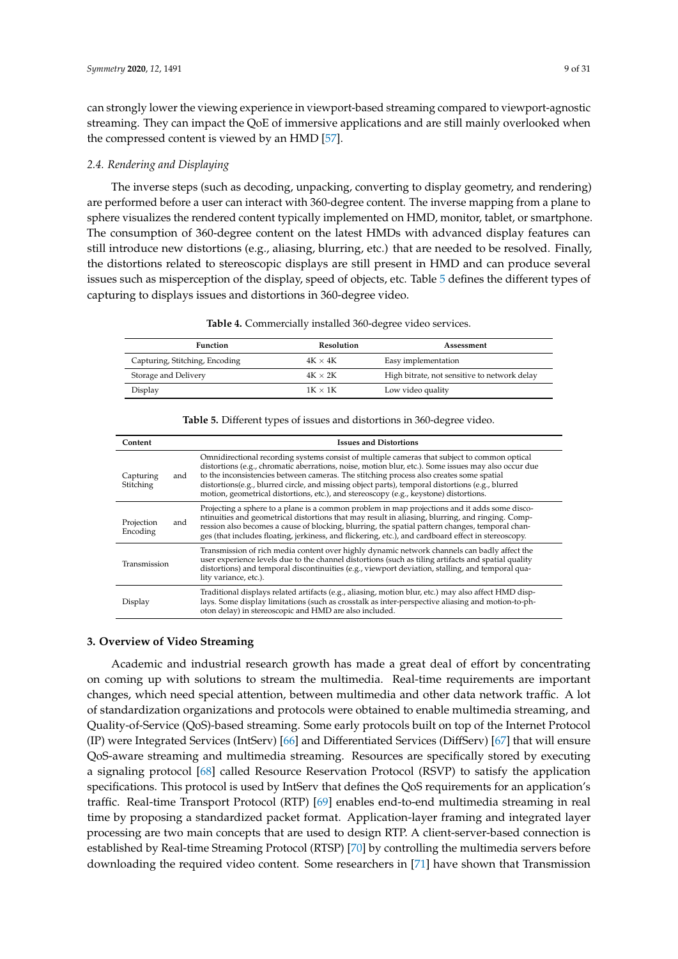can strongly lower the viewing experience in viewport-based streaming compared to viewport-agnostic streaming. They can impact the QoE of immersive applications and are still mainly overlooked when the compressed content is viewed by an HMD [\[57\]](#page-25-3).

#### *2.4. Rendering and Displaying*

The inverse steps (such as decoding, unpacking, converting to display geometry, and rendering) are performed before a user can interact with 360-degree content. The inverse mapping from a plane to sphere visualizes the rendered content typically implemented on HMD, monitor, tablet, or smartphone. The consumption of 360-degree content on the latest HMDs with advanced display features can still introduce new distortions (e.g., aliasing, blurring, etc.) that are needed to be resolved. Finally, the distortions related to stereoscopic displays are still present in HMD and can produce several issues such as misperception of the display, speed of objects, etc. Table [5](#page-8-2) defines the different types of capturing to displays issues and distortions in 360-degree video.

<span id="page-8-1"></span>

| <b>Function</b>                | <b>Resolution</b> | Assessment                                   |
|--------------------------------|-------------------|----------------------------------------------|
| Capturing, Stitching, Encoding | $4K \times 4K$    | Easy implementation                          |
| Storage and Delivery           | $4K \times 2K$    | High bitrate, not sensitive to network delay |
| Display                        | $1K \times 1K$    | Low video quality                            |

# **Table 5.** Different types of issues and distortions in 360-degree video.

<span id="page-8-2"></span>

| Content                       | <b>Issues and Distortions</b>                                                                                                                                                                                                                                                                                                                                                                                                                                                                |
|-------------------------------|----------------------------------------------------------------------------------------------------------------------------------------------------------------------------------------------------------------------------------------------------------------------------------------------------------------------------------------------------------------------------------------------------------------------------------------------------------------------------------------------|
| Capturing<br>and<br>Stitching | Omnidirectional recording systems consist of multiple cameras that subject to common optical<br>distortions (e.g., chromatic aberrations, noise, motion blur, etc.). Some issues may also occur due<br>to the inconsistencies between cameras. The stitching process also creates some spatial<br>distortions (e.g., blurred circle, and missing object parts), temporal distortions (e.g., blurred<br>motion, geometrical distortions, etc.), and stereoscopy (e.g., keystone) distortions. |
| Projection<br>and<br>Encoding | Projecting a sphere to a plane is a common problem in map projections and it adds some disco-<br>ntinuities and geometrical distortions that may result in aliasing, blurring, and ringing. Comp-<br>ression also becomes a cause of blocking, blurring, the spatial pattern changes, temporal chan-<br>ges (that includes floating, jerkiness, and flickering, etc.), and cardboard effect in stereoscopy.                                                                                  |
| Transmission                  | Transmission of rich media content over highly dynamic network channels can badly affect the<br>user experience levels due to the channel distortions (such as tiling artifacts and spatial quality<br>distortions) and temporal discontinuities (e.g., viewport deviation, stalling, and temporal qua-<br>lity variance, etc.).                                                                                                                                                             |
| Display                       | Traditional displays related artifacts (e.g., aliasing, motion blur, etc.) may also affect HMD disp-<br>lays. Some display limitations (such as crosstalk as inter-perspective aliasing and motion-to-ph-<br>oton delay) in stereoscopic and HMD are also included.                                                                                                                                                                                                                          |

#### <span id="page-8-0"></span>**3. Overview of Video Streaming**

Academic and industrial research growth has made a great deal of effort by concentrating on coming up with solutions to stream the multimedia. Real-time requirements are important changes, which need special attention, between multimedia and other data network traffic. A lot of standardization organizations and protocols were obtained to enable multimedia streaming, and Quality-of-Service (QoS)-based streaming. Some early protocols built on top of the Internet Protocol (IP) were Integrated Services (IntServ) [\[66\]](#page-25-10) and Differentiated Services (DiffServ) [\[67\]](#page-25-11) that will ensure QoS-aware streaming and multimedia streaming. Resources are specifically stored by executing a signaling protocol [\[68\]](#page-25-12) called Resource Reservation Protocol (RSVP) to satisfy the application specifications. This protocol is used by IntServ that defines the QoS requirements for an application's traffic. Real-time Transport Protocol (RTP) [\[69\]](#page-25-13) enables end-to-end multimedia streaming in real time by proposing a standardized packet format. Application-layer framing and integrated layer processing are two main concepts that are used to design RTP. A client-server-based connection is established by Real-time Streaming Protocol (RTSP) [\[70\]](#page-25-14) by controlling the multimedia servers before downloading the required video content. Some researchers in [\[71\]](#page-25-15) have shown that Transmission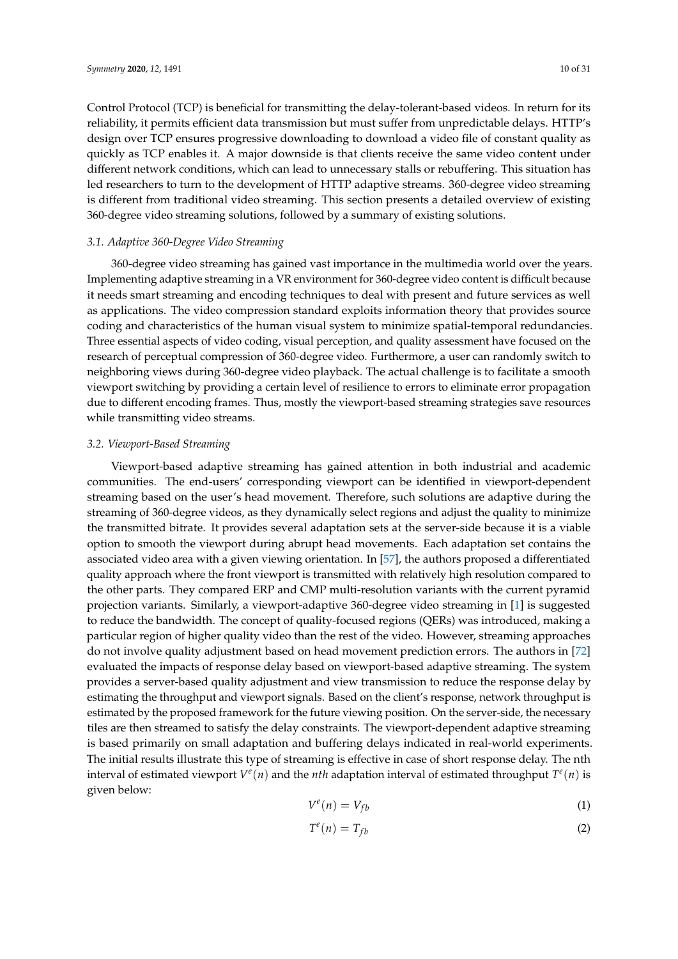Control Protocol (TCP) is beneficial for transmitting the delay-tolerant-based videos. In return for its reliability, it permits efficient data transmission but must suffer from unpredictable delays. HTTP's design over TCP ensures progressive downloading to download a video file of constant quality as quickly as TCP enables it. A major downside is that clients receive the same video content under different network conditions, which can lead to unnecessary stalls or rebuffering. This situation has led researchers to turn to the development of HTTP adaptive streams. 360-degree video streaming is different from traditional video streaming. This section presents a detailed overview of existing 360-degree video streaming solutions, followed by a summary of existing solutions.

# *3.1. Adaptive 360-Degree Video Streaming*

360-degree video streaming has gained vast importance in the multimedia world over the years. Implementing adaptive streaming in a VR environment for 360-degree video content is difficult because it needs smart streaming and encoding techniques to deal with present and future services as well as applications. The video compression standard exploits information theory that provides source coding and characteristics of the human visual system to minimize spatial-temporal redundancies. Three essential aspects of video coding, visual perception, and quality assessment have focused on the research of perceptual compression of 360-degree video. Furthermore, a user can randomly switch to neighboring views during 360-degree video playback. The actual challenge is to facilitate a smooth viewport switching by providing a certain level of resilience to errors to eliminate error propagation due to different encoding frames. Thus, mostly the viewport-based streaming strategies save resources while transmitting video streams.

#### *3.2. Viewport-Based Streaming*

Viewport-based adaptive streaming has gained attention in both industrial and academic communities. The end-users' corresponding viewport can be identified in viewport-dependent streaming based on the user's head movement. Therefore, such solutions are adaptive during the streaming of 360-degree videos, as they dynamically select regions and adjust the quality to minimize the transmitted bitrate. It provides several adaptation sets at the server-side because it is a viable option to smooth the viewport during abrupt head movements. Each adaptation set contains the associated video area with a given viewing orientation. In [\[57\]](#page-25-3), the authors proposed a differentiated quality approach where the front viewport is transmitted with relatively high resolution compared to the other parts. They compared ERP and CMP multi-resolution variants with the current pyramid projection variants. Similarly, a viewport-adaptive 360-degree video streaming in [\[1\]](#page-22-0) is suggested to reduce the bandwidth. The concept of quality-focused regions (QERs) was introduced, making a particular region of higher quality video than the rest of the video. However, streaming approaches do not involve quality adjustment based on head movement prediction errors. The authors in [\[72\]](#page-25-16) evaluated the impacts of response delay based on viewport-based adaptive streaming. The system provides a server-based quality adjustment and view transmission to reduce the response delay by estimating the throughput and viewport signals. Based on the client's response, network throughput is estimated by the proposed framework for the future viewing position. On the server-side, the necessary tiles are then streamed to satisfy the delay constraints. The viewport-dependent adaptive streaming is based primarily on small adaptation and buffering delays indicated in real-world experiments. The initial results illustrate this type of streaming is effective in case of short response delay. The nth interval of estimated viewport  $V^e(n)$  and the *nth* adaptation interval of estimated throughput  $T^e(n)$  is given below:

$$
V^e(n) = V_{fb} \tag{1}
$$

$$
T^e(n) = T_{fb} \tag{2}
$$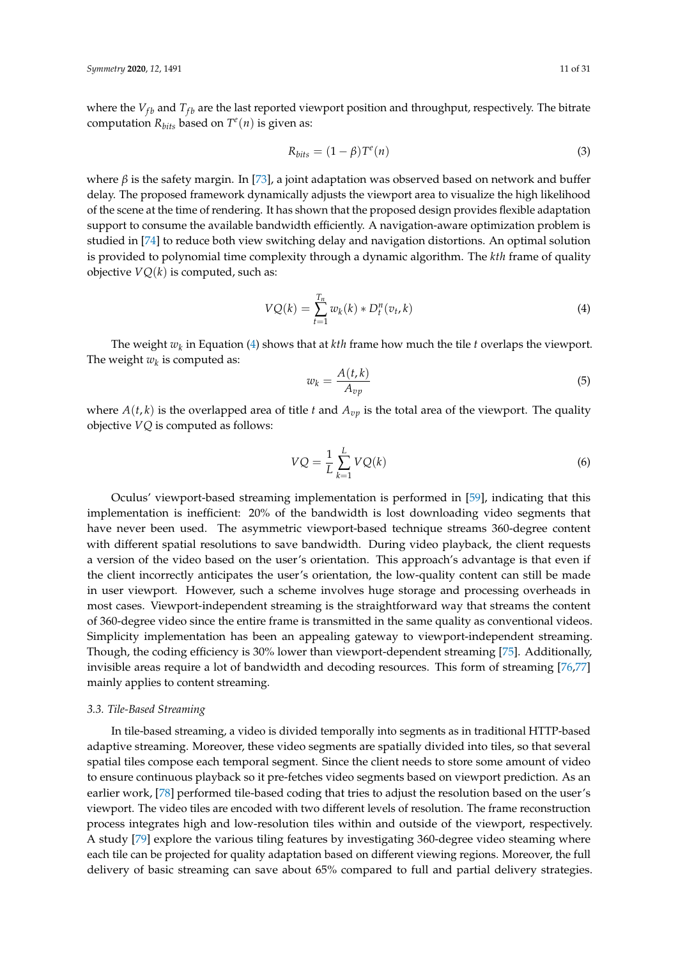where the  $V_{fb}$  and  $T_{fb}$  are the last reported viewport position and throughput, respectively. The bitrate computation  $R_{bits}$  based on  $T^e(n)$  is given as:

$$
R_{bits} = (1 - \beta)T^e(n) \tag{3}
$$

where *β* is the safety margin. In [\[73\]](#page-25-17), a joint adaptation was observed based on network and buffer delay. The proposed framework dynamically adjusts the viewport area to visualize the high likelihood of the scene at the time of rendering. It has shown that the proposed design provides flexible adaptation support to consume the available bandwidth efficiently. A navigation-aware optimization problem is studied in [\[74\]](#page-25-18) to reduce both view switching delay and navigation distortions. An optimal solution is provided to polynomial time complexity through a dynamic algorithm. The *kth* frame of quality objective  $VQ(k)$  is computed, such as:

<span id="page-10-0"></span>
$$
VQ(k) = \sum_{t=1}^{T_n} w_k(k) * D_t^n(v_t, k)
$$
\n(4)

The weight *w<sup>k</sup>* in Equation [\(4\)](#page-10-0) shows that at *kth* frame how much the tile *t* overlaps the viewport. The weight  $w_k$  is computed as:

$$
w_k = \frac{A(t,k)}{A_{vp}}\tag{5}
$$

where  $A(t, k)$  is the overlapped area of title *t* and  $A_{vp}$  is the total area of the viewport. The quality objective *VQ* is computed as follows:

$$
VQ = \frac{1}{L} \sum_{k=1}^{L} VQ(k)
$$
\n<sup>(6)</sup>

Oculus' viewport-based streaming implementation is performed in [\[59\]](#page-25-5), indicating that this implementation is inefficient: 20% of the bandwidth is lost downloading video segments that have never been used. The asymmetric viewport-based technique streams 360-degree content with different spatial resolutions to save bandwidth. During video playback, the client requests a version of the video based on the user's orientation. This approach's advantage is that even if the client incorrectly anticipates the user's orientation, the low-quality content can still be made in user viewport. However, such a scheme involves huge storage and processing overheads in most cases. Viewport-independent streaming is the straightforward way that streams the content of 360-degree video since the entire frame is transmitted in the same quality as conventional videos. Simplicity implementation has been an appealing gateway to viewport-independent streaming. Though, the coding efficiency is 30% lower than viewport-dependent streaming [\[75\]](#page-26-0). Additionally, invisible areas require a lot of bandwidth and decoding resources. This form of streaming [\[76](#page-26-1)[,77\]](#page-26-2) mainly applies to content streaming.

#### *3.3. Tile-Based Streaming*

In tile-based streaming, a video is divided temporally into segments as in traditional HTTP-based adaptive streaming. Moreover, these video segments are spatially divided into tiles, so that several spatial tiles compose each temporal segment. Since the client needs to store some amount of video to ensure continuous playback so it pre-fetches video segments based on viewport prediction. As an earlier work, [\[78\]](#page-26-3) performed tile-based coding that tries to adjust the resolution based on the user's viewport. The video tiles are encoded with two different levels of resolution. The frame reconstruction process integrates high and low-resolution tiles within and outside of the viewport, respectively. A study [\[79\]](#page-26-4) explore the various tiling features by investigating 360-degree video steaming where each tile can be projected for quality adaptation based on different viewing regions. Moreover, the full delivery of basic streaming can save about 65% compared to full and partial delivery strategies.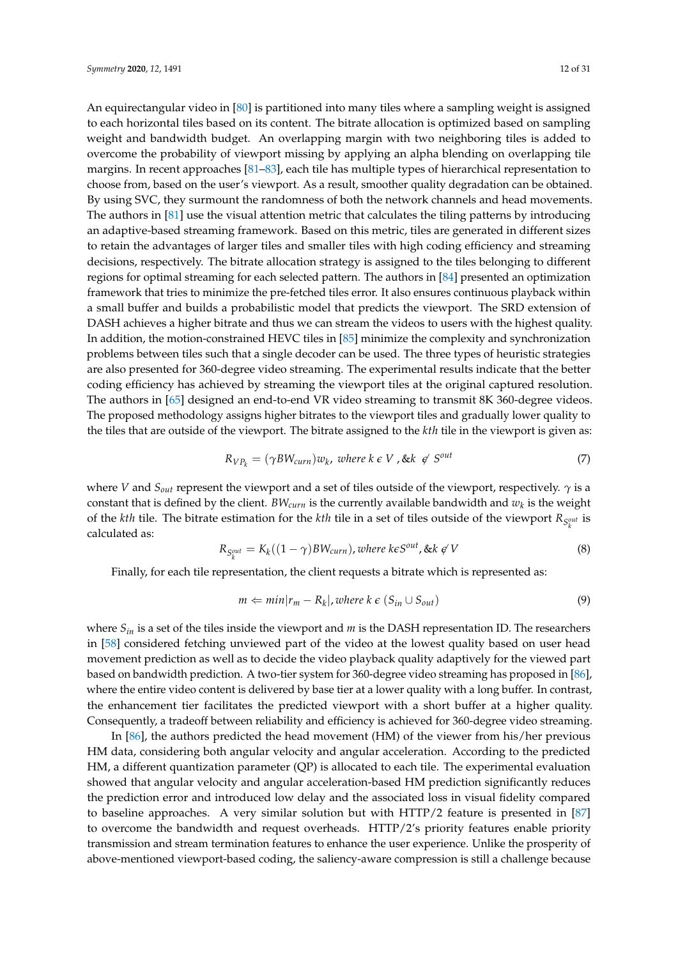An equirectangular video in [\[80\]](#page-26-5) is partitioned into many tiles where a sampling weight is assigned to each horizontal tiles based on its content. The bitrate allocation is optimized based on sampling weight and bandwidth budget. An overlapping margin with two neighboring tiles is added to overcome the probability of viewport missing by applying an alpha blending on overlapping tile margins. In recent approaches [\[81–](#page-26-6)[83\]](#page-26-7), each tile has multiple types of hierarchical representation to choose from, based on the user's viewport. As a result, smoother quality degradation can be obtained. By using SVC, they surmount the randomness of both the network channels and head movements. The authors in [\[81\]](#page-26-6) use the visual attention metric that calculates the tiling patterns by introducing an adaptive-based streaming framework. Based on this metric, tiles are generated in different sizes to retain the advantages of larger tiles and smaller tiles with high coding efficiency and streaming decisions, respectively. The bitrate allocation strategy is assigned to the tiles belonging to different regions for optimal streaming for each selected pattern. The authors in [\[84\]](#page-26-8) presented an optimization framework that tries to minimize the pre-fetched tiles error. It also ensures continuous playback within a small buffer and builds a probabilistic model that predicts the viewport. The SRD extension of DASH achieves a higher bitrate and thus we can stream the videos to users with the highest quality. In addition, the motion-constrained HEVC tiles in [\[85\]](#page-26-9) minimize the complexity and synchronization problems between tiles such that a single decoder can be used. The three types of heuristic strategies are also presented for 360-degree video streaming. The experimental results indicate that the better coding efficiency has achieved by streaming the viewport tiles at the original captured resolution. The authors in [\[65\]](#page-25-9) designed an end-to-end VR video streaming to transmit 8K 360-degree videos. The proposed methodology assigns higher bitrates to the viewport tiles and gradually lower quality to the tiles that are outside of the viewport. The bitrate assigned to the *kth* tile in the viewport is given as:

$$
R_{VP_k} = (\gamma BW_{curr})w_k, \text{ where } k \in V, \text{& } k \notin S^{out}
$$
 (7)

where *V* and *Sout* represent the viewport and a set of tiles outside of the viewport, respectively. *γ* is a constant that is defined by the client.  $BW_{curr}$  is the currently available bandwidth and  $w_k$  is the weight of the *kth* tile. The bitrate estimation for the *kth* tile in a set of tiles outside of the viewport  $R_{S_k^{out}}$  is *k* calculated as:

$$
R_{S_k^{out}} = K_k((1 - \gamma)BW_{curr}), where \, k \in S^{out}, \, \& k \notin V \tag{8}
$$

Finally, for each tile representation, the client requests a bitrate which is represented as:

$$
m \Leftarrow min |r_m - R_k|, where k \in (S_{in} \cup S_{out})
$$
\n
$$
(9)
$$

where  $S_{in}$  is a set of the tiles inside the viewport and  $m$  is the DASH representation ID. The researchers in [\[58\]](#page-25-4) considered fetching unviewed part of the video at the lowest quality based on user head movement prediction as well as to decide the video playback quality adaptively for the viewed part based on bandwidth prediction. A two-tier system for 360-degree video streaming has proposed in [\[86\]](#page-26-10), where the entire video content is delivered by base tier at a lower quality with a long buffer. In contrast, the enhancement tier facilitates the predicted viewport with a short buffer at a higher quality. Consequently, a tradeoff between reliability and efficiency is achieved for 360-degree video streaming.

In [\[86\]](#page-26-10), the authors predicted the head movement (HM) of the viewer from his/her previous HM data, considering both angular velocity and angular acceleration. According to the predicted HM, a different quantization parameter (QP) is allocated to each tile. The experimental evaluation showed that angular velocity and angular acceleration-based HM prediction significantly reduces the prediction error and introduced low delay and the associated loss in visual fidelity compared to baseline approaches. A very similar solution but with HTTP/2 feature is presented in [\[87\]](#page-26-11) to overcome the bandwidth and request overheads. HTTP/2's priority features enable priority transmission and stream termination features to enhance the user experience. Unlike the prosperity of above-mentioned viewport-based coding, the saliency-aware compression is still a challenge because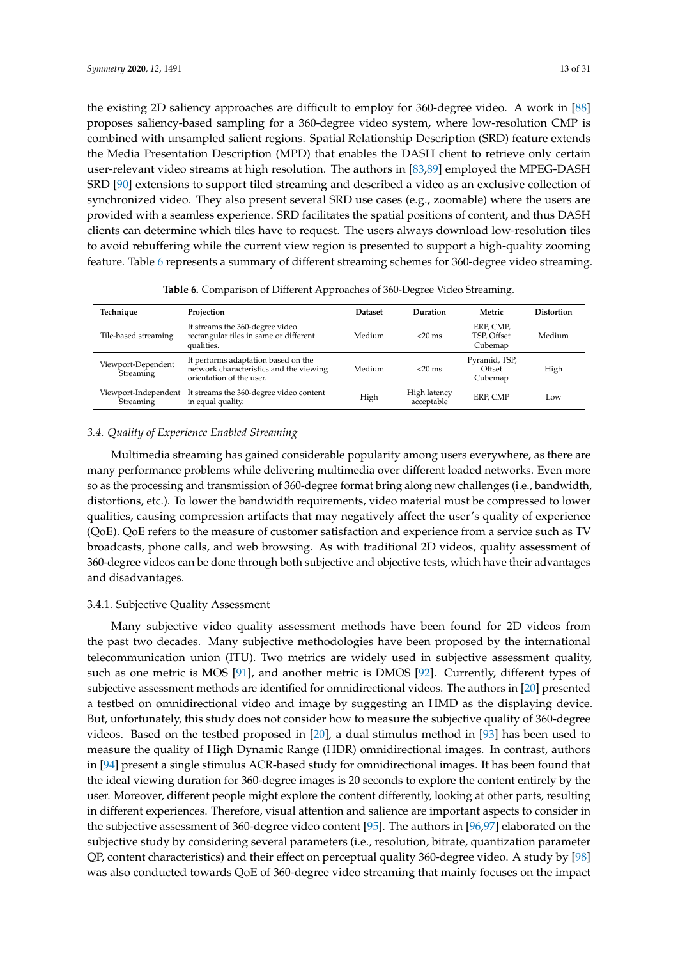the existing 2D saliency approaches are difficult to employ for 360-degree video. A work in [\[88\]](#page-26-12) proposes saliency-based sampling for a 360-degree video system, where low-resolution CMP is combined with unsampled salient regions. Spatial Relationship Description (SRD) feature extends the Media Presentation Description (MPD) that enables the DASH client to retrieve only certain user-relevant video streams at high resolution. The authors in [\[83](#page-26-7)[,89\]](#page-26-13) employed the MPEG-DASH SRD [\[90\]](#page-26-14) extensions to support tiled streaming and described a video as an exclusive collection of synchronized video. They also present several SRD use cases (e.g., zoomable) where the users are provided with a seamless experience. SRD facilitates the spatial positions of content, and thus DASH clients can determine which tiles have to request. The users always download low-resolution tiles to avoid rebuffering while the current view region is presented to support a high-quality zooming feature. Table [6](#page-12-0) represents a summary of different streaming schemes for 360-degree video streaming.

<span id="page-12-0"></span>

| Technique                         | Projection                                                                                                 | <b>Dataset</b> | Duration                   | Metric                              | <b>Distortion</b> |
|-----------------------------------|------------------------------------------------------------------------------------------------------------|----------------|----------------------------|-------------------------------------|-------------------|
| Tile-based streaming              | It streams the 360-degree video<br>rectangular tiles in same or different<br>qualities.                    | Medium         | $<$ 20 ms                  | ERP, CMP,<br>TSP. Offset<br>Cubemap | Medium            |
| Viewport-Dependent<br>Streaming   | It performs adaptation based on the<br>network characteristics and the viewing<br>orientation of the user. | Medium         | $<$ 20 ms                  | Pyramid, TSP,<br>Offset<br>Cubemap  | High              |
| Viewport-Independent<br>Streaming | It streams the 360-degree video content<br>in equal quality.                                               | High           | High latency<br>acceptable | ERP. CMP                            | Low               |
|                                   |                                                                                                            |                |                            |                                     |                   |

**Table 6.** Comparison of Different Approaches of 360-Degree Video Streaming.

## *3.4. Quality of Experience Enabled Streaming*

Multimedia streaming has gained considerable popularity among users everywhere, as there are many performance problems while delivering multimedia over different loaded networks. Even more so as the processing and transmission of 360-degree format bring along new challenges (i.e., bandwidth, distortions, etc.). To lower the bandwidth requirements, video material must be compressed to lower qualities, causing compression artifacts that may negatively affect the user's quality of experience (QoE). QoE refers to the measure of customer satisfaction and experience from a service such as TV broadcasts, phone calls, and web browsing. As with traditional 2D videos, quality assessment of 360-degree videos can be done through both subjective and objective tests, which have their advantages and disadvantages.

# 3.4.1. Subjective Quality Assessment

Many subjective video quality assessment methods have been found for 2D videos from the past two decades. Many subjective methodologies have been proposed by the international telecommunication union (ITU). Two metrics are widely used in subjective assessment quality, such as one metric is MOS [\[91\]](#page-26-15), and another metric is DMOS [\[92\]](#page-26-16). Currently, different types of subjective assessment methods are identified for omnidirectional videos. The authors in [\[20\]](#page-23-7) presented a testbed on omnidirectional video and image by suggesting an HMD as the displaying device. But, unfortunately, this study does not consider how to measure the subjective quality of 360-degree videos. Based on the testbed proposed in [\[20\]](#page-23-7), a dual stimulus method in [\[93\]](#page-26-17) has been used to measure the quality of High Dynamic Range (HDR) omnidirectional images. In contrast, authors in [\[94\]](#page-27-0) present a single stimulus ACR-based study for omnidirectional images. It has been found that the ideal viewing duration for 360-degree images is 20 seconds to explore the content entirely by the user. Moreover, different people might explore the content differently, looking at other parts, resulting in different experiences. Therefore, visual attention and salience are important aspects to consider in the subjective assessment of 360-degree video content [\[95\]](#page-27-1). The authors in [\[96](#page-27-2)[,97\]](#page-27-3) elaborated on the subjective study by considering several parameters (i.e., resolution, bitrate, quantization parameter QP, content characteristics) and their effect on perceptual quality 360-degree video. A study by [\[98\]](#page-27-4) was also conducted towards QoE of 360-degree video streaming that mainly focuses on the impact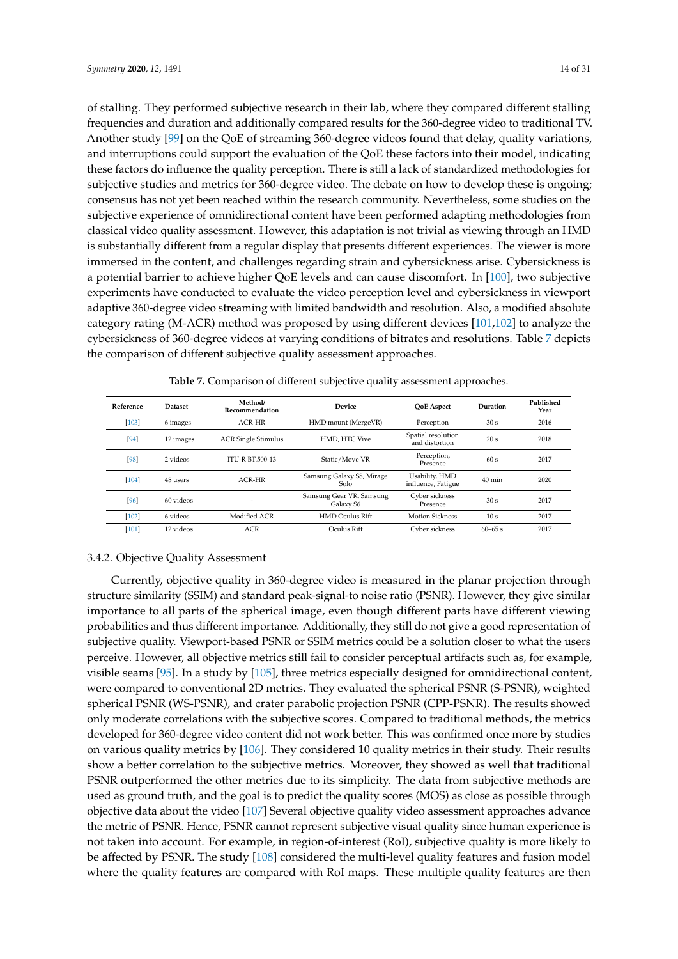of stalling. They performed subjective research in their lab, where they compared different stalling frequencies and duration and additionally compared results for the 360-degree video to traditional TV. Another study [\[99\]](#page-27-5) on the QoE of streaming 360-degree videos found that delay, quality variations, and interruptions could support the evaluation of the QoE these factors into their model, indicating these factors do influence the quality perception. There is still a lack of standardized methodologies for subjective studies and metrics for 360-degree video. The debate on how to develop these is ongoing; consensus has not yet been reached within the research community. Nevertheless, some studies on the subjective experience of omnidirectional content have been performed adapting methodologies from classical video quality assessment. However, this adaptation is not trivial as viewing through an HMD is substantially different from a regular display that presents different experiences. The viewer is more immersed in the content, and challenges regarding strain and cybersickness arise. Cybersickness is a potential barrier to achieve higher QoE levels and can cause discomfort. In [\[100\]](#page-27-6), two subjective experiments have conducted to evaluate the video perception level and cybersickness in viewport adaptive 360-degree video streaming with limited bandwidth and resolution. Also, a modified absolute category rating (M-ACR) method was proposed by using different devices [\[101](#page-27-7)[,102\]](#page-27-8) to analyze the cybersickness of 360-degree videos at varying conditions of bitrates and resolutions. Table [7](#page-13-0) depicts the comparison of different subjective quality assessment approaches.

<span id="page-13-0"></span>

| Reference | <b>Dataset</b> | Method/<br>Recommendation  | <b>Device</b>                         | <b>OoE</b> Aspect                    | Duration         | Published<br>Year |
|-----------|----------------|----------------------------|---------------------------------------|--------------------------------------|------------------|-------------------|
| [103]     | 6 images       | $ACR-HR$                   | HMD mount (MergeVR)                   | Perception                           | 30 <sub>s</sub>  | 2016              |
| $[94]$    | 12 images      | <b>ACR Single Stimulus</b> | HMD. HTC Vive                         | Spatial resolution<br>and distortion | 20 <sub>s</sub>  | 2018              |
| [98]      | 2 videos       | <b>ITU-R BT.500-13</b>     | Static/Move VR                        | Perception,<br>Presence              | 60s              | 2017              |
| $[104]$   | 48 users       | $ACR-HR$                   | Samsung Galaxy S8, Mirage<br>Solo     | Usability, HMD<br>influence, Fatigue | $40 \text{ min}$ | 2020              |
| [96]      | 60 videos      | ٠                          | Samsung Gear VR, Samsung<br>Galaxy S6 | Cyber sickness<br>Presence           | 30 <sub>s</sub>  | 2017              |
| $[102]$   | 6 videos       | Modified ACR               | HMD Oculus Rift                       | <b>Motion Sickness</b>               | 10 <sub>s</sub>  | 2017              |
| $[101]$   | 12 videos      | <b>ACR</b>                 | Oculus Rift                           | Cyber sickness                       | $60 - 65$ s      | 2017              |

**Table 7.** Comparison of different subjective quality assessment approaches.

#### 3.4.2. Objective Quality Assessment

Currently, objective quality in 360-degree video is measured in the planar projection through structure similarity (SSIM) and standard peak-signal-to noise ratio (PSNR). However, they give similar importance to all parts of the spherical image, even though different parts have different viewing probabilities and thus different importance. Additionally, they still do not give a good representation of subjective quality. Viewport-based PSNR or SSIM metrics could be a solution closer to what the users perceive. However, all objective metrics still fail to consider perceptual artifacts such as, for example, visible seams [\[95\]](#page-27-1). In a study by [\[105\]](#page-27-11), three metrics especially designed for omnidirectional content, were compared to conventional 2D metrics. They evaluated the spherical PSNR (S-PSNR), weighted spherical PSNR (WS-PSNR), and crater parabolic projection PSNR (CPP-PSNR). The results showed only moderate correlations with the subjective scores. Compared to traditional methods, the metrics developed for 360-degree video content did not work better. This was confirmed once more by studies on various quality metrics by [\[106\]](#page-27-12). They considered 10 quality metrics in their study. Their results show a better correlation to the subjective metrics. Moreover, they showed as well that traditional PSNR outperformed the other metrics due to its simplicity. The data from subjective methods are used as ground truth, and the goal is to predict the quality scores (MOS) as close as possible through objective data about the video [\[107\]](#page-27-13) Several objective quality video assessment approaches advance the metric of PSNR. Hence, PSNR cannot represent subjective visual quality since human experience is not taken into account. For example, in region-of-interest (RoI), subjective quality is more likely to be affected by PSNR. The study [\[108\]](#page-27-14) considered the multi-level quality features and fusion model where the quality features are compared with RoI maps. These multiple quality features are then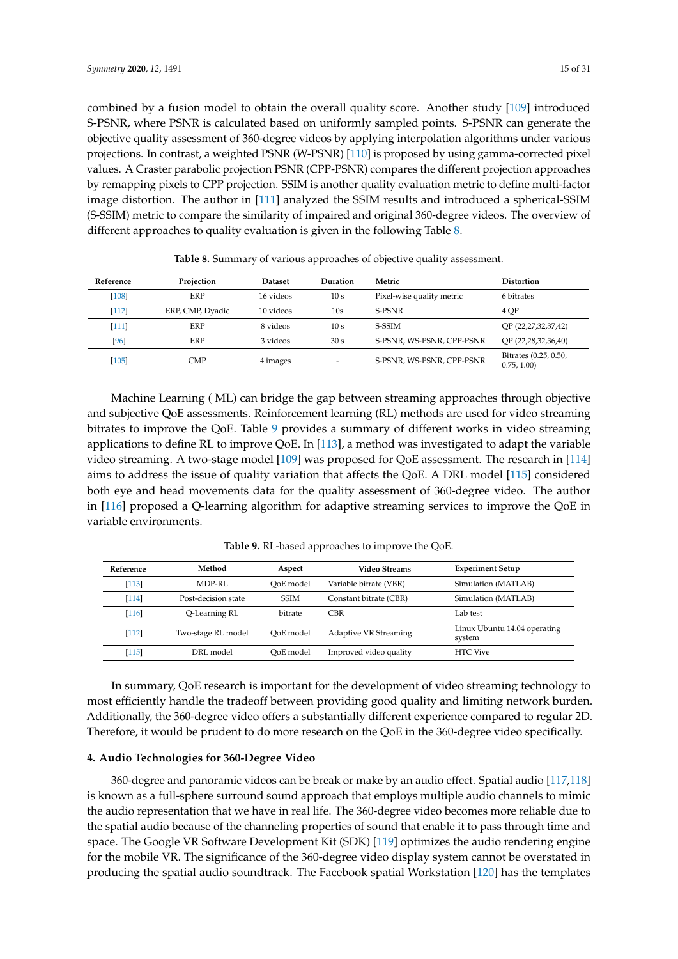combined by a fusion model to obtain the overall quality score. Another study [\[109\]](#page-27-15) introduced S-PSNR, where PSNR is calculated based on uniformly sampled points. S-PSNR can generate the objective quality assessment of 360-degree videos by applying interpolation algorithms under various projections. In contrast, a weighted PSNR (W-PSNR) [\[110\]](#page-27-16) is proposed by using gamma-corrected pixel values. A Craster parabolic projection PSNR (CPP-PSNR) compares the different projection approaches by remapping pixels to CPP projection. SSIM is another quality evaluation metric to define multi-factor image distortion. The author in [\[111\]](#page-27-17) analyzed the SSIM results and introduced a spherical-SSIM (S-SSIM) metric to compare the similarity of impaired and original 360-degree videos. The overview of different approaches to quality evaluation is given in the following Table [8.](#page-14-1)

<span id="page-14-1"></span>

| Reference | Projection       | <b>Dataset</b> | Duration                 | Metric                    | <b>Distortion</b>                   |
|-----------|------------------|----------------|--------------------------|---------------------------|-------------------------------------|
| $[108]$   | <b>ERP</b>       | 16 videos      | 10 <sub>s</sub>          | Pixel-wise quality metric | 6 bitrates                          |
| $[112]$   | ERP, CMP, Dyadic | 10 videos      | 10s                      | S-PSNR                    | 4 OP                                |
| $[111]$   | ERP              | 8 videos       | 10 s                     | S-SSIM                    | QP (22,27,32,37,42)                 |
| [96]      | ERP              | 3 videos       | 30 s                     | S-PSNR, WS-PSNR, CPP-PSNR | OP (22,28,32,36,40)                 |
| $[105]$   | <b>CMP</b>       | 4 images       | $\overline{\phantom{0}}$ | S-PSNR, WS-PSNR, CPP-PSNR | Bitrates (0.25, 0.50,<br>0.75, 1.00 |

**Table 8.** Summary of various approaches of objective quality assessment.

Machine Learning ( ML) can bridge the gap between streaming approaches through objective and subjective QoE assessments. Reinforcement learning (RL) methods are used for video streaming bitrates to improve the QoE. Table [9](#page-14-2) provides a summary of different works in video streaming applications to define RL to improve QoE. In [\[113\]](#page-28-1), a method was investigated to adapt the variable video streaming. A two-stage model [\[109\]](#page-27-15) was proposed for QoE assessment. The research in [\[114\]](#page-28-2) aims to address the issue of quality variation that affects the QoE. A DRL model [\[115\]](#page-28-3) considered both eye and head movements data for the quality assessment of 360-degree video. The author in [\[116\]](#page-28-4) proposed a Q-learning algorithm for adaptive streaming services to improve the QoE in variable environments.

<span id="page-14-2"></span>

| Reference | Method              | Aspect      | Video Streams                | <b>Experiment Setup</b>                |
|-----------|---------------------|-------------|------------------------------|----------------------------------------|
| $[113]$   | MDP-RL              | OoE model   | Variable bitrate (VBR)       | Simulation (MATLAB)                    |
| [114]     | Post-decision state | <b>SSIM</b> | Constant bitrate (CBR)       | Simulation (MATLAB)                    |
| [116]     | Q-Learning RL       | bitrate     | <b>CBR</b>                   | Lab test                               |
| $[112]$   | Two-stage RL model  | OoE model   | <b>Adaptive VR Streaming</b> | Linux Ubuntu 14.04 operating<br>system |
| [115]     | DRL model           | OoE model   | Improved video quality       | <b>HTC</b> Vive                        |

**Table 9.** RL-based approaches to improve the QoE.

In summary, QoE research is important for the development of video streaming technology to most efficiently handle the tradeoff between providing good quality and limiting network burden. Additionally, the 360-degree video offers a substantially different experience compared to regular 2D. Therefore, it would be prudent to do more research on the QoE in the 360-degree video specifically.

# <span id="page-14-0"></span>**4. Audio Technologies for 360-Degree Video**

360-degree and panoramic videos can be break or make by an audio effect. Spatial audio [\[117,](#page-28-5)[118\]](#page-28-6) is known as a full-sphere surround sound approach that employs multiple audio channels to mimic the audio representation that we have in real life. The 360-degree video becomes more reliable due to the spatial audio because of the channeling properties of sound that enable it to pass through time and space. The Google VR Software Development Kit (SDK) [\[119\]](#page-28-7) optimizes the audio rendering engine for the mobile VR. The significance of the 360-degree video display system cannot be overstated in producing the spatial audio soundtrack. The Facebook spatial Workstation [\[120\]](#page-28-8) has the templates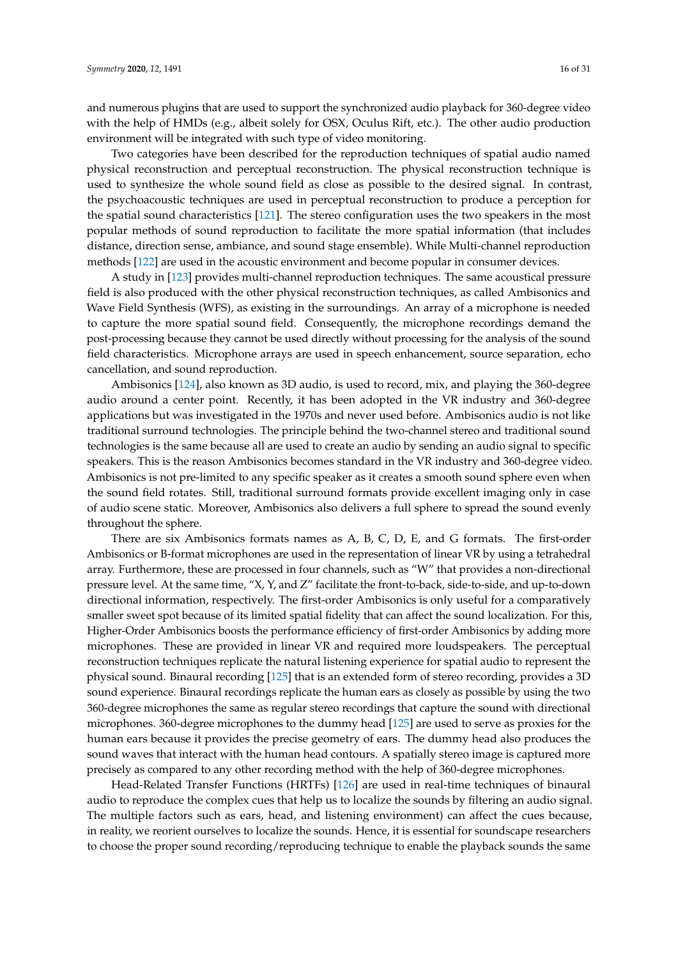and numerous plugins that are used to support the synchronized audio playback for 360-degree video with the help of HMDs (e.g., albeit solely for OSX, Oculus Rift, etc.). The other audio production environment will be integrated with such type of video monitoring.

Two categories have been described for the reproduction techniques of spatial audio named physical reconstruction and perceptual reconstruction. The physical reconstruction technique is used to synthesize the whole sound field as close as possible to the desired signal. In contrast, the psychoacoustic techniques are used in perceptual reconstruction to produce a perception for the spatial sound characteristics [\[121\]](#page-28-9). The stereo configuration uses the two speakers in the most popular methods of sound reproduction to facilitate the more spatial information (that includes distance, direction sense, ambiance, and sound stage ensemble). While Multi-channel reproduction methods [\[122\]](#page-28-10) are used in the acoustic environment and become popular in consumer devices.

A study in [\[123\]](#page-28-11) provides multi-channel reproduction techniques. The same acoustical pressure field is also produced with the other physical reconstruction techniques, as called Ambisonics and Wave Field Synthesis (WFS), as existing in the surroundings. An array of a microphone is needed to capture the more spatial sound field. Consequently, the microphone recordings demand the post-processing because they cannot be used directly without processing for the analysis of the sound field characteristics. Microphone arrays are used in speech enhancement, source separation, echo cancellation, and sound reproduction.

Ambisonics [\[124\]](#page-28-12), also known as 3D audio, is used to record, mix, and playing the 360-degree audio around a center point. Recently, it has been adopted in the VR industry and 360-degree applications but was investigated in the 1970s and never used before. Ambisonics audio is not like traditional surround technologies. The principle behind the two-channel stereo and traditional sound technologies is the same because all are used to create an audio by sending an audio signal to specific speakers. This is the reason Ambisonics becomes standard in the VR industry and 360-degree video. Ambisonics is not pre-limited to any specific speaker as it creates a smooth sound sphere even when the sound field rotates. Still, traditional surround formats provide excellent imaging only in case of audio scene static. Moreover, Ambisonics also delivers a full sphere to spread the sound evenly throughout the sphere.

There are six Ambisonics formats names as A, B, C, D, E, and G formats. The first-order Ambisonics or B-format microphones are used in the representation of linear VR by using a tetrahedral array. Furthermore, these are processed in four channels, such as "W" that provides a non-directional pressure level. At the same time, "X, Y, and Z" facilitate the front-to-back, side-to-side, and up-to-down directional information, respectively. The first-order Ambisonics is only useful for a comparatively smaller sweet spot because of its limited spatial fidelity that can affect the sound localization. For this, Higher-Order Ambisonics boosts the performance efficiency of first-order Ambisonics by adding more microphones. These are provided in linear VR and required more loudspeakers. The perceptual reconstruction techniques replicate the natural listening experience for spatial audio to represent the physical sound. Binaural recording [\[125\]](#page-28-13) that is an extended form of stereo recording, provides a 3D sound experience. Binaural recordings replicate the human ears as closely as possible by using the two 360-degree microphones the same as regular stereo recordings that capture the sound with directional microphones. 360-degree microphones to the dummy head [\[125\]](#page-28-13) are used to serve as proxies for the human ears because it provides the precise geometry of ears. The dummy head also produces the sound waves that interact with the human head contours. A spatially stereo image is captured more precisely as compared to any other recording method with the help of 360-degree microphones.

Head-Related Transfer Functions (HRTFs) [\[126\]](#page-28-14) are used in real-time techniques of binaural audio to reproduce the complex cues that help us to localize the sounds by filtering an audio signal. The multiple factors such as ears, head, and listening environment) can affect the cues because, in reality, we reorient ourselves to localize the sounds. Hence, it is essential for soundscape researchers to choose the proper sound recording/reproducing technique to enable the playback sounds the same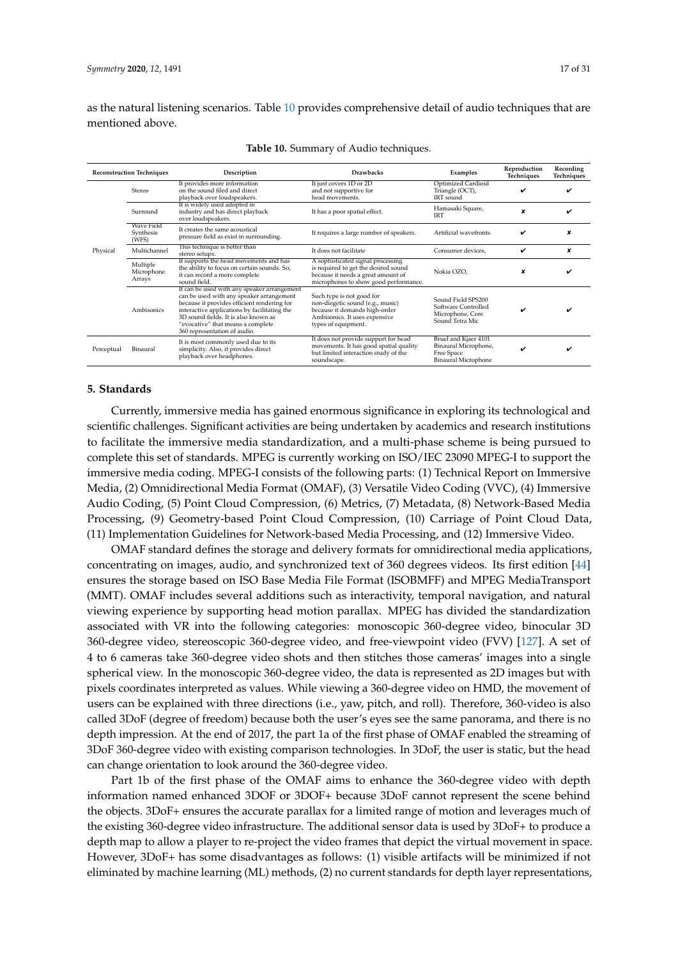as the natural listening scenarios. Table [10](#page-16-1) provides comprehensive detail of audio techniques that are mentioned above.

<span id="page-16-1"></span>

| <b>Reconstruction Techniques</b> |                                  | Description                                                                                                                                                                                                                                                                                         | <b>Drawbacks</b>                                                                                                                                         | Examples                                                                                 | Reproduction<br>Techniques | Recording<br>Techniques |
|----------------------------------|----------------------------------|-----------------------------------------------------------------------------------------------------------------------------------------------------------------------------------------------------------------------------------------------------------------------------------------------------|----------------------------------------------------------------------------------------------------------------------------------------------------------|------------------------------------------------------------------------------------------|----------------------------|-------------------------|
|                                  | Stereo                           | It provides more information<br>on the sound filed and direct<br>playback over loudspeakers.                                                                                                                                                                                                        | It just covers 1D or 2D<br>and not supportive for<br>head movements.                                                                                     | Optimized Cardioid<br>Triangle (OCT),<br>IRT sound                                       | ✓                          |                         |
| Physical                         | Surround                         | It is widely used adopted in<br>industry and has direct playback<br>over loudspeakers.                                                                                                                                                                                                              | It has a poor spatial effect.                                                                                                                            | Hamasaki Square,<br><b>IRT</b>                                                           |                            |                         |
|                                  | Wave Field<br>Synthesis<br>(WFS) | It creates the same acoustical<br>pressure field as exist in surrounding.                                                                                                                                                                                                                           | It requires a large number of speakers.                                                                                                                  | Artificial wavefronts                                                                    | ✓                          |                         |
|                                  | Multichannel                     | This technique is better than<br>stereo setups.                                                                                                                                                                                                                                                     | It does not facilitate                                                                                                                                   | Consumer devices,                                                                        | ✓                          | x                       |
|                                  | Multiple<br>Microphone<br>Arrays | It supports the head movements and has<br>the ability to focus on certain sounds. So,<br>it can record a more complete<br>sound field.                                                                                                                                                              | A sophisticated signal processing<br>is required to get the desired sound<br>because it needs a great amount of<br>microphones to show good performance. | Nokia OZO.                                                                               |                            |                         |
|                                  | Ambisonics                       | It can be used with any speaker arrangement<br>can be used with any speaker arrangement<br>because it provides efficient rendering for<br>interactive applications by facilitating the<br>3D sound fields. It is also known as<br>"evocative" that means a complete<br>360 representation of audio. | Such type is not good for<br>non-diegetic sound (e.g., music)<br>because it demands high-order<br>Ambisonics. It uses expensive<br>types of equipment.   | Sound Field SPS200<br>Software Controlled<br>Microphone, Core<br>Sound Tetra Mic         | ✓                          |                         |
| Perceptual                       | Binaural                         | It is most commonly used due to its<br>simplicity. Also, it provides direct<br>playback over headphones.                                                                                                                                                                                            | It does not provide support for head<br>movements. It has good spatial quality<br>but limited interaction study of the<br>soundscape.                    | Bruel and Kjaer 4101<br>Binaural Microphone,<br>Free Space<br><b>Binaural Microphone</b> |                            |                         |

|  | Table 10. Summary of Audio techniques. |  |  |  |  |
|--|----------------------------------------|--|--|--|--|
|--|----------------------------------------|--|--|--|--|

#### <span id="page-16-0"></span>**5. Standards**

Currently, immersive media has gained enormous significance in exploring its technological and scientific challenges. Significant activities are being undertaken by academics and research institutions to facilitate the immersive media standardization, and a multi-phase scheme is being pursued to complete this set of standards. MPEG is currently working on ISO/IEC 23090 MPEG-I to support the immersive media coding. MPEG-I consists of the following parts: (1) Technical Report on Immersive Media, (2) Omnidirectional Media Format (OMAF), (3) Versatile Video Coding (VVC), (4) Immersive Audio Coding, (5) Point Cloud Compression, (6) Metrics, (7) Metadata, (8) Network-Based Media Processing, (9) Geometry-based Point Cloud Compression, (10) Carriage of Point Cloud Data, (11) Implementation Guidelines for Network-based Media Processing, and (12) Immersive Video.

OMAF standard defines the storage and delivery formats for omnidirectional media applications, concentrating on images, audio, and synchronized text of 360 degrees videos. Its first edition [\[44\]](#page-24-11) ensures the storage based on ISO Base Media File Format (ISOBMFF) and MPEG MediaTransport (MMT). OMAF includes several additions such as interactivity, temporal navigation, and natural viewing experience by supporting head motion parallax. MPEG has divided the standardization associated with VR into the following categories: monoscopic 360-degree video, binocular 3D 360-degree video, stereoscopic 360-degree video, and free-viewpoint video (FVV) [\[127\]](#page-28-15). A set of 4 to 6 cameras take 360-degree video shots and then stitches those cameras' images into a single spherical view. In the monoscopic 360-degree video, the data is represented as 2D images but with pixels coordinates interpreted as values. While viewing a 360-degree video on HMD, the movement of users can be explained with three directions (i.e., yaw, pitch, and roll). Therefore, 360-video is also called 3DoF (degree of freedom) because both the user's eyes see the same panorama, and there is no depth impression. At the end of 2017, the part 1a of the first phase of OMAF enabled the streaming of 3DoF 360-degree video with existing comparison technologies. In 3DoF, the user is static, but the head can change orientation to look around the 360-degree video.

Part 1b of the first phase of the OMAF aims to enhance the 360-degree video with depth information named enhanced 3DOF or 3DOF+ because 3DoF cannot represent the scene behind the objects. 3DoF+ ensures the accurate parallax for a limited range of motion and leverages much of the existing 360-degree video infrastructure. The additional sensor data is used by 3DoF+ to produce a depth map to allow a player to re-project the video frames that depict the virtual movement in space. However, 3DoF+ has some disadvantages as follows: (1) visible artifacts will be minimized if not eliminated by machine learning (ML) methods, (2) no current standards for depth layer representations,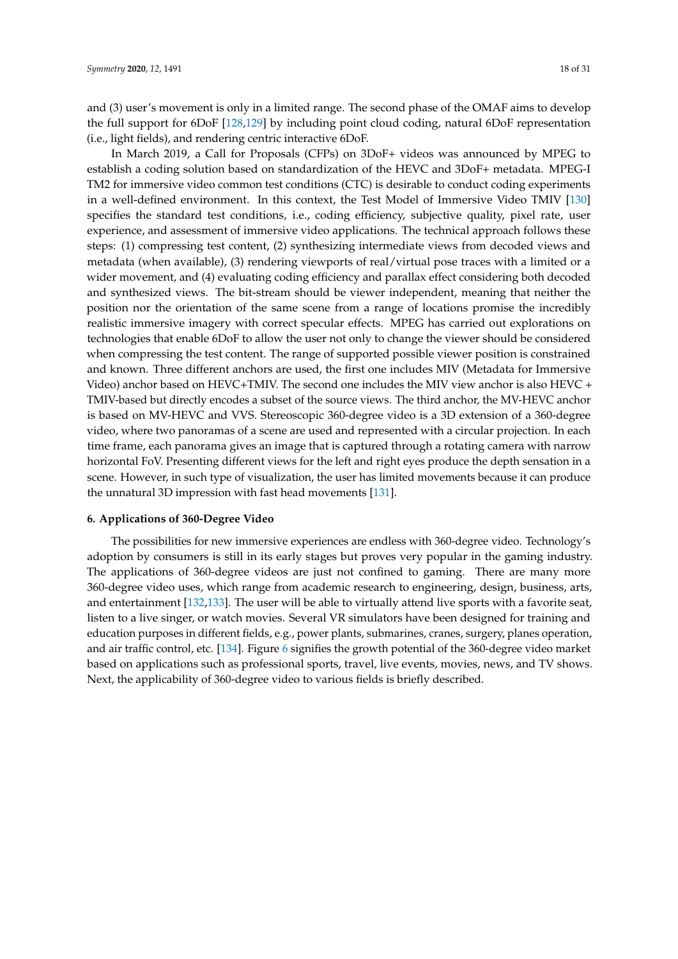and (3) user's movement is only in a limited range. The second phase of the OMAF aims to develop the full support for 6DoF [\[128](#page-28-16)[,129\]](#page-28-17) by including point cloud coding, natural 6DoF representation (i.e., light fields), and rendering centric interactive 6DoF.

In March 2019, a Call for Proposals (CFPs) on 3DoF+ videos was announced by MPEG to establish a coding solution based on standardization of the HEVC and 3DoF+ metadata. MPEG-I TM2 for immersive video common test conditions (CTC) is desirable to conduct coding experiments in a well-defined environment. In this context, the Test Model of Immersive Video TMIV [\[130\]](#page-28-18) specifies the standard test conditions, i.e., coding efficiency, subjective quality, pixel rate, user experience, and assessment of immersive video applications. The technical approach follows these steps: (1) compressing test content, (2) synthesizing intermediate views from decoded views and metadata (when available), (3) rendering viewports of real/virtual pose traces with a limited or a wider movement, and (4) evaluating coding efficiency and parallax effect considering both decoded and synthesized views. The bit-stream should be viewer independent, meaning that neither the position nor the orientation of the same scene from a range of locations promise the incredibly realistic immersive imagery with correct specular effects. MPEG has carried out explorations on technologies that enable 6DoF to allow the user not only to change the viewer should be considered when compressing the test content. The range of supported possible viewer position is constrained and known. Three different anchors are used, the first one includes MIV (Metadata for Immersive Video) anchor based on HEVC+TMIV. The second one includes the MIV view anchor is also HEVC + TMIV-based but directly encodes a subset of the source views. The third anchor, the MV-HEVC anchor is based on MV-HEVC and VVS. Stereoscopic 360-degree video is a 3D extension of a 360-degree video, where two panoramas of a scene are used and represented with a circular projection. In each time frame, each panorama gives an image that is captured through a rotating camera with narrow horizontal FoV. Presenting different views for the left and right eyes produce the depth sensation in a scene. However, in such type of visualization, the user has limited movements because it can produce the unnatural 3D impression with fast head movements [\[131\]](#page-28-19).

#### **6. Applications of 360-Degree Video**

The possibilities for new immersive experiences are endless with 360-degree video. Technology's adoption by consumers is still in its early stages but proves very popular in the gaming industry. The applications of 360-degree videos are just not confined to gaming. There are many more 360-degree video uses, which range from academic research to engineering, design, business, arts, and entertainment [\[132,](#page-28-20)[133\]](#page-29-0). The user will be able to virtually attend live sports with a favorite seat, listen to a live singer, or watch movies. Several VR simulators have been designed for training and education purposes in different fields, e.g., power plants, submarines, cranes, surgery, planes operation, and air traffic control, etc. [\[134\]](#page-29-1). Figure [6](#page-18-0) signifies the growth potential of the 360-degree video market based on applications such as professional sports, travel, live events, movies, news, and TV shows. Next, the applicability of 360-degree video to various fields is briefly described.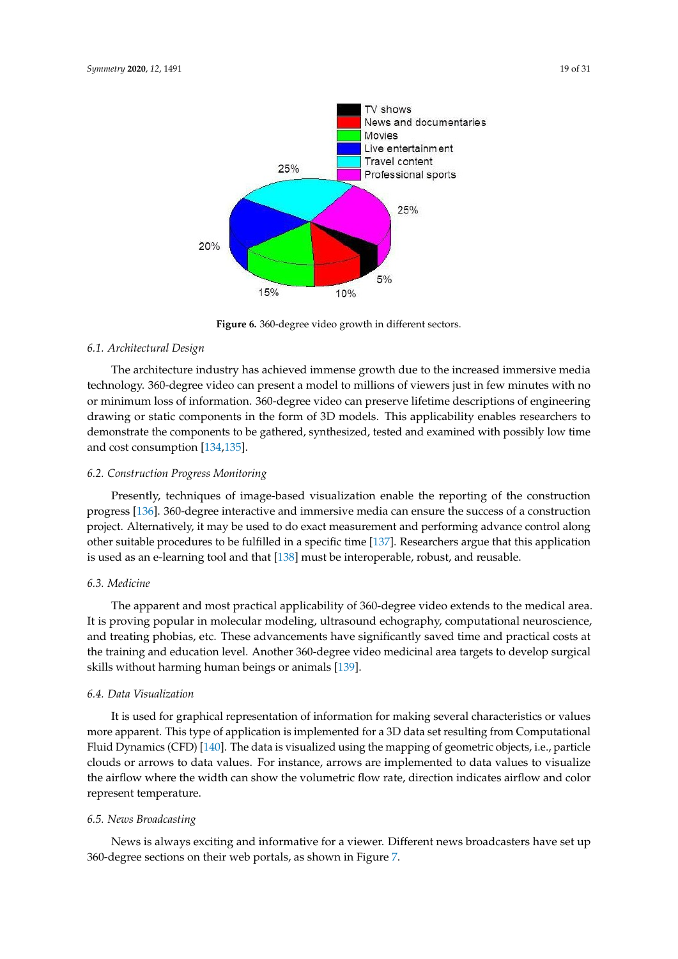<span id="page-18-0"></span>

**Figure 6.** 360-degree video growth in different sectors.

## *6.1. Architectural Design*

The architecture industry has achieved immense growth due to the increased immersive media technology. 360-degree video can present a model to millions of viewers just in few minutes with no or minimum loss of information. 360-degree video can preserve lifetime descriptions of engineering drawing or static components in the form of 3D models. This applicability enables researchers to demonstrate the components to be gathered, synthesized, tested and examined with possibly low time and cost consumption [\[134,](#page-29-1)[135\]](#page-29-2).

#### *6.2. Construction Progress Monitoring*

Presently, techniques of image-based visualization enable the reporting of the construction progress [\[136\]](#page-29-3). 360-degree interactive and immersive media can ensure the success of a construction project. Alternatively, it may be used to do exact measurement and performing advance control along other suitable procedures to be fulfilled in a specific time [\[137\]](#page-29-4). Researchers argue that this application is used as an e-learning tool and that [\[138\]](#page-29-5) must be interoperable, robust, and reusable.

# *6.3. Medicine*

The apparent and most practical applicability of 360-degree video extends to the medical area. It is proving popular in molecular modeling, ultrasound echography, computational neuroscience, and treating phobias, etc. These advancements have significantly saved time and practical costs at the training and education level. Another 360-degree video medicinal area targets to develop surgical skills without harming human beings or animals [\[139\]](#page-29-6).

#### *6.4. Data Visualization*

It is used for graphical representation of information for making several characteristics or values more apparent. This type of application is implemented for a 3D data set resulting from Computational Fluid Dynamics (CFD) [\[140\]](#page-29-7). The data is visualized using the mapping of geometric objects, i.e., particle clouds or arrows to data values. For instance, arrows are implemented to data values to visualize the airflow where the width can show the volumetric flow rate, direction indicates airflow and color represent temperature.

### *6.5. News Broadcasting*

News is always exciting and informative for a viewer. Different news broadcasters have set up 360-degree sections on their web portals, as shown in Figure [7.](#page-19-0)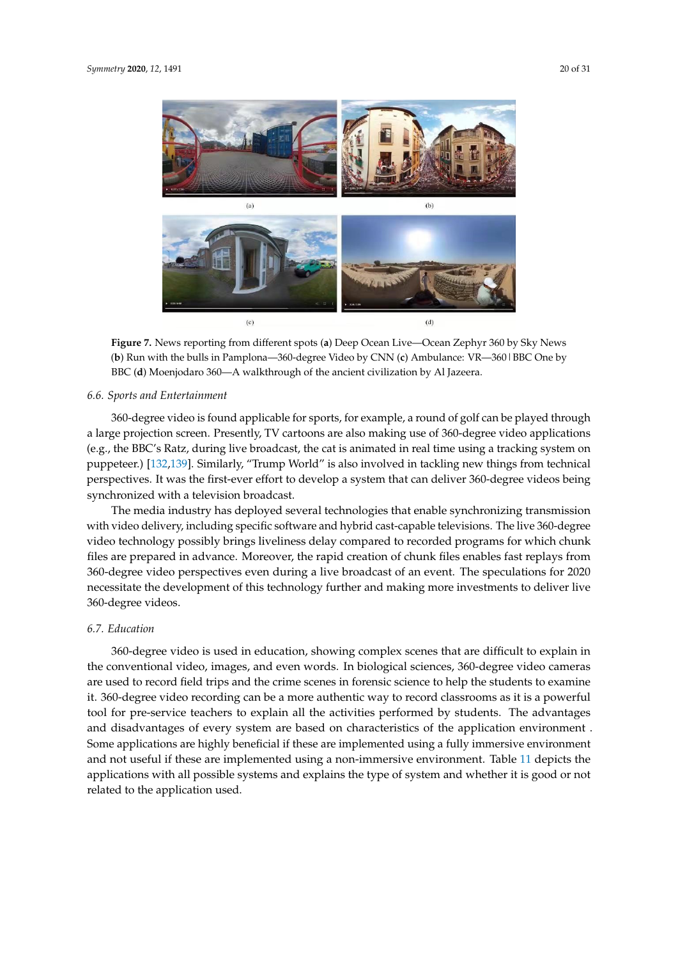<span id="page-19-0"></span>

**Figure 7.** News reporting from different spots (**a**) Deep Ocean Live—Ocean Zephyr 360 by Sky News (**b**) Run with the bulls in Pamplona—360-degree Video by CNN (**c**) Ambulance: VR—360|BBC One by BBC (**d**) Moenjodaro 360—A walkthrough of the ancient civilization by Al Jazeera.

#### *6.6. Sports and Entertainment*

360-degree video is found applicable for sports, for example, a round of golf can be played through a large projection screen. Presently, TV cartoons are also making use of 360-degree video applications (e.g., the BBC's Ratz, during live broadcast, the cat is animated in real time using a tracking system on puppeteer.) [\[132,](#page-28-20)[139\]](#page-29-6). Similarly, "Trump World" is also involved in tackling new things from technical perspectives. It was the first-ever effort to develop a system that can deliver 360-degree videos being synchronized with a television broadcast.

The media industry has deployed several technologies that enable synchronizing transmission with video delivery, including specific software and hybrid cast-capable televisions. The live 360-degree video technology possibly brings liveliness delay compared to recorded programs for which chunk files are prepared in advance. Moreover, the rapid creation of chunk files enables fast replays from 360-degree video perspectives even during a live broadcast of an event. The speculations for 2020 necessitate the development of this technology further and making more investments to deliver live 360-degree videos.

#### *6.7. Education*

360-degree video is used in education, showing complex scenes that are difficult to explain in the conventional video, images, and even words. In biological sciences, 360-degree video cameras are used to record field trips and the crime scenes in forensic science to help the students to examine it. 360-degree video recording can be a more authentic way to record classrooms as it is a powerful tool for pre-service teachers to explain all the activities performed by students. The advantages and disadvantages of every system are based on characteristics of the application environment . Some applications are highly beneficial if these are implemented using a fully immersive environment and not useful if these are implemented using a non-immersive environment. Table [11](#page-20-1) depicts the applications with all possible systems and explains the type of system and whether it is good or not related to the application used.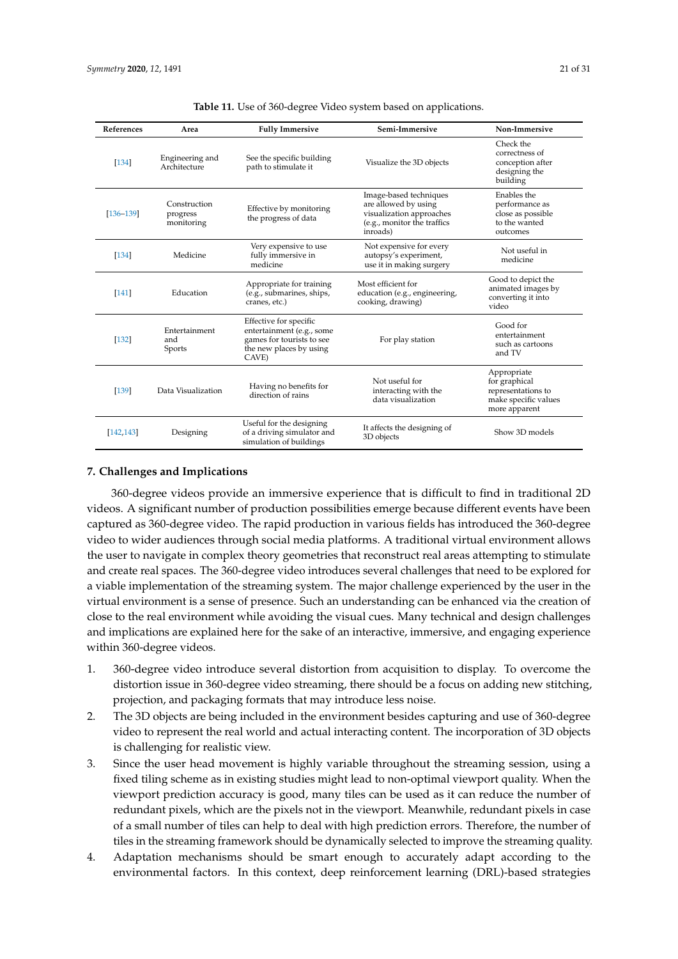<span id="page-20-1"></span>

| References    | Area                                   | <b>Fully Immersive</b>                                                                                               | Semi-Immersive                                                                                                        | Non-Immersive                                                                               |
|---------------|----------------------------------------|----------------------------------------------------------------------------------------------------------------------|-----------------------------------------------------------------------------------------------------------------------|---------------------------------------------------------------------------------------------|
| [134]         | Engineering and<br>Architecture        | See the specific building<br>path to stimulate it                                                                    | Visualize the 3D objects                                                                                              | Check the<br>correctness of<br>conception after<br>designing the<br>building                |
| $[136 - 139]$ | Construction<br>progress<br>monitoring | Effective by monitoring<br>the progress of data                                                                      | Image-based techniques<br>are allowed by using<br>visualization approaches<br>(e.g., monitor the traffics<br>inroads) | Enables the<br>performance as<br>close as possible<br>to the wanted<br>outcomes             |
| [134]         | Medicine                               | Very expensive to use<br>fully immersive in<br>medicine                                                              | Not expensive for every<br>autopsy's experiment,<br>use it in making surgery                                          | Not useful in<br>medicine                                                                   |
| [141]         | Education                              | Appropriate for training<br>(e.g., submarines, ships,<br>cranes, etc.)                                               | Most efficient for<br>education (e.g., engineering,<br>cooking, drawing)                                              | Good to depict the<br>animated images by<br>converting it into<br>video                     |
| [132]         | Entertainment<br>and<br>Sports         | Effective for specific<br>entertainment (e.g., some<br>games for tourists to see<br>the new places by using<br>CAVE) | For play station                                                                                                      | Good for<br>entertainment<br>such as cartoons<br>and TV                                     |
| [139]         | Data Visualization                     | Having no benefits for<br>direction of rains                                                                         | Not useful for<br>interacting with the<br>data visualization                                                          | Appropriate<br>for graphical<br>representations to<br>make specific values<br>more apparent |
| [142, 143]    | Designing                              | Useful for the designing<br>of a driving simulator and<br>simulation of buildings                                    | It affects the designing of<br>3D objects                                                                             | Show 3D models                                                                              |

#### <span id="page-20-0"></span>**7. Challenges and Implications**

360-degree videos provide an immersive experience that is difficult to find in traditional 2D videos. A significant number of production possibilities emerge because different events have been captured as 360-degree video. The rapid production in various fields has introduced the 360-degree video to wider audiences through social media platforms. A traditional virtual environment allows the user to navigate in complex theory geometries that reconstruct real areas attempting to stimulate and create real spaces. The 360-degree video introduces several challenges that need to be explored for a viable implementation of the streaming system. The major challenge experienced by the user in the virtual environment is a sense of presence. Such an understanding can be enhanced via the creation of close to the real environment while avoiding the visual cues. Many technical and design challenges and implications are explained here for the sake of an interactive, immersive, and engaging experience within 360-degree videos.

- 1. 360-degree video introduce several distortion from acquisition to display. To overcome the distortion issue in 360-degree video streaming, there should be a focus on adding new stitching, projection, and packaging formats that may introduce less noise.
- 2. The 3D objects are being included in the environment besides capturing and use of 360-degree video to represent the real world and actual interacting content. The incorporation of 3D objects is challenging for realistic view.
- 3. Since the user head movement is highly variable throughout the streaming session, using a fixed tiling scheme as in existing studies might lead to non-optimal viewport quality. When the viewport prediction accuracy is good, many tiles can be used as it can reduce the number of redundant pixels, which are the pixels not in the viewport. Meanwhile, redundant pixels in case of a small number of tiles can help to deal with high prediction errors. Therefore, the number of tiles in the streaming framework should be dynamically selected to improve the streaming quality.
- 4. Adaptation mechanisms should be smart enough to accurately adapt according to the environmental factors. In this context, deep reinforcement learning (DRL)-based strategies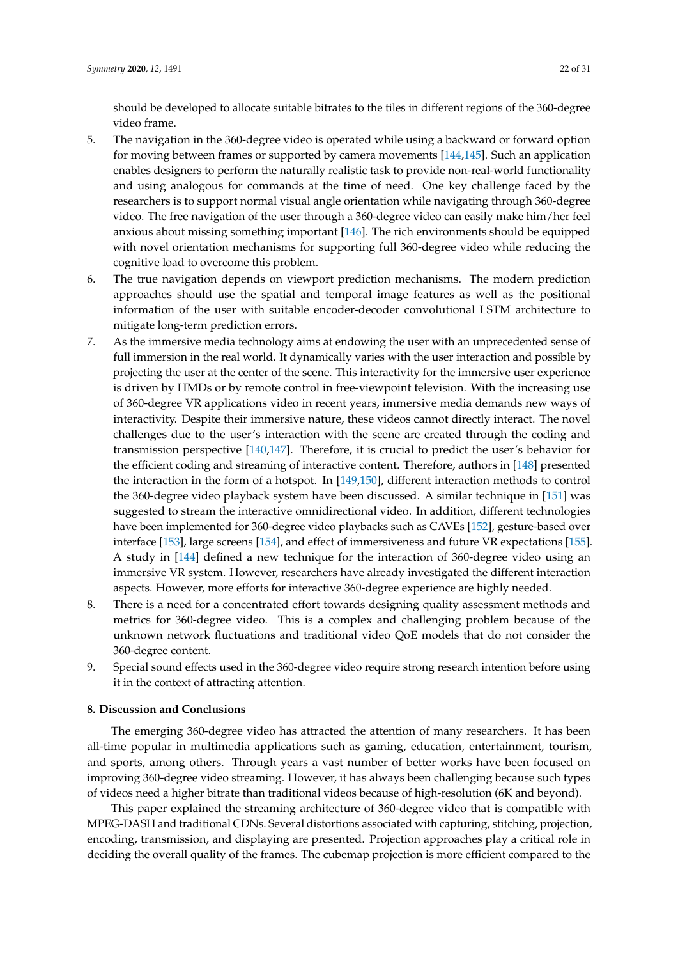should be developed to allocate suitable bitrates to the tiles in different regions of the 360-degree video frame.

- 5. The navigation in the 360-degree video is operated while using a backward or forward option for moving between frames or supported by camera movements [\[144,](#page-29-11)[145\]](#page-29-12). Such an application enables designers to perform the naturally realistic task to provide non-real-world functionality and using analogous for commands at the time of need. One key challenge faced by the researchers is to support normal visual angle orientation while navigating through 360-degree video. The free navigation of the user through a 360-degree video can easily make him/her feel anxious about missing something important [\[146\]](#page-29-13). The rich environments should be equipped with novel orientation mechanisms for supporting full 360-degree video while reducing the cognitive load to overcome this problem.
- 6. The true navigation depends on viewport prediction mechanisms. The modern prediction approaches should use the spatial and temporal image features as well as the positional information of the user with suitable encoder-decoder convolutional LSTM architecture to mitigate long-term prediction errors.
- 7. As the immersive media technology aims at endowing the user with an unprecedented sense of full immersion in the real world. It dynamically varies with the user interaction and possible by projecting the user at the center of the scene. This interactivity for the immersive user experience is driven by HMDs or by remote control in free-viewpoint television. With the increasing use of 360-degree VR applications video in recent years, immersive media demands new ways of interactivity. Despite their immersive nature, these videos cannot directly interact. The novel challenges due to the user's interaction with the scene are created through the coding and transmission perspective [\[140,](#page-29-7)[147\]](#page-29-14). Therefore, it is crucial to predict the user's behavior for the efficient coding and streaming of interactive content. Therefore, authors in [\[148\]](#page-29-15) presented the interaction in the form of a hotspot. In [\[149,](#page-29-16)[150\]](#page-29-17), different interaction methods to control the 360-degree video playback system have been discussed. A similar technique in [\[151\]](#page-29-18) was suggested to stream the interactive omnidirectional video. In addition, different technologies have been implemented for 360-degree video playbacks such as CAVEs [\[152\]](#page-29-19), gesture-based over interface [\[153\]](#page-30-0), large screens [\[154\]](#page-30-1), and effect of immersiveness and future VR expectations [\[155\]](#page-30-2). A study in [\[144\]](#page-29-11) defined a new technique for the interaction of 360-degree video using an immersive VR system. However, researchers have already investigated the different interaction aspects. However, more efforts for interactive 360-degree experience are highly needed.
- 8. There is a need for a concentrated effort towards designing quality assessment methods and metrics for 360-degree video. This is a complex and challenging problem because of the unknown network fluctuations and traditional video QoE models that do not consider the 360-degree content.
- 9. Special sound effects used in the 360-degree video require strong research intention before using it in the context of attracting attention.

## <span id="page-21-0"></span>**8. Discussion and Conclusions**

The emerging 360-degree video has attracted the attention of many researchers. It has been all-time popular in multimedia applications such as gaming, education, entertainment, tourism, and sports, among others. Through years a vast number of better works have been focused on improving 360-degree video streaming. However, it has always been challenging because such types of videos need a higher bitrate than traditional videos because of high-resolution (6K and beyond).

This paper explained the streaming architecture of 360-degree video that is compatible with MPEG-DASH and traditional CDNs. Several distortions associated with capturing, stitching, projection, encoding, transmission, and displaying are presented. Projection approaches play a critical role in deciding the overall quality of the frames. The cubemap projection is more efficient compared to the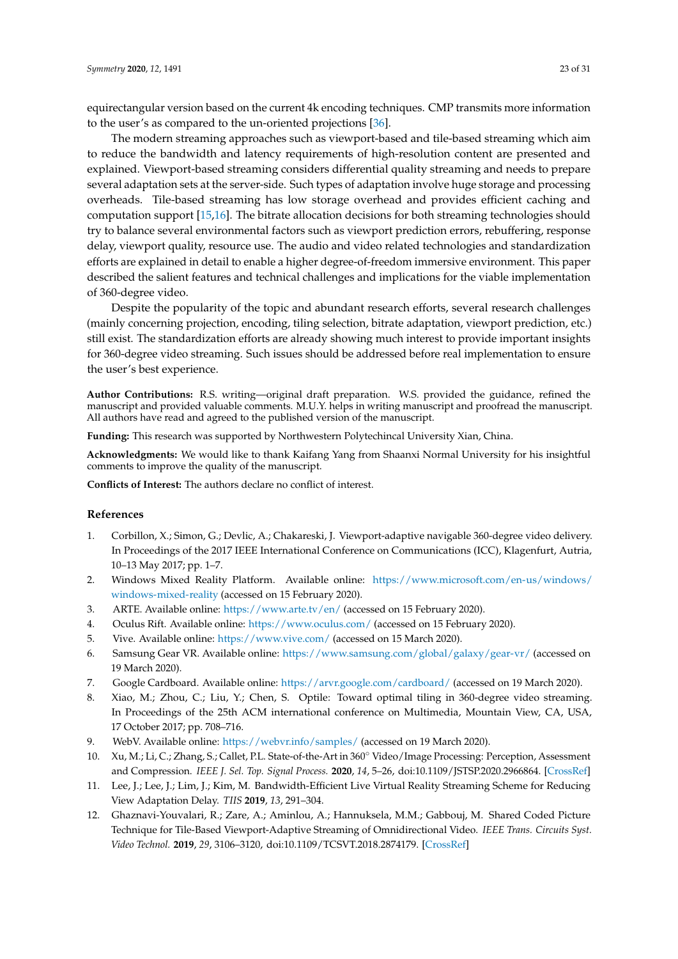equirectangular version based on the current 4k encoding techniques. CMP transmits more information to the user's as compared to the un-oriented projections [\[36\]](#page-24-3).

The modern streaming approaches such as viewport-based and tile-based streaming which aim to reduce the bandwidth and latency requirements of high-resolution content are presented and explained. Viewport-based streaming considers differential quality streaming and needs to prepare several adaptation sets at the server-side. Such types of adaptation involve huge storage and processing overheads. Tile-based streaming has low storage overhead and provides efficient caching and computation support [\[15](#page-23-2)[,16\]](#page-23-3). The bitrate allocation decisions for both streaming technologies should try to balance several environmental factors such as viewport prediction errors, rebuffering, response delay, viewport quality, resource use. The audio and video related technologies and standardization efforts are explained in detail to enable a higher degree-of-freedom immersive environment. This paper described the salient features and technical challenges and implications for the viable implementation of 360-degree video.

Despite the popularity of the topic and abundant research efforts, several research challenges (mainly concerning projection, encoding, tiling selection, bitrate adaptation, viewport prediction, etc.) still exist. The standardization efforts are already showing much interest to provide important insights for 360-degree video streaming. Such issues should be addressed before real implementation to ensure the user's best experience.

**Author Contributions:** R.S. writing—original draft preparation. W.S. provided the guidance, refined the manuscript and provided valuable comments. M.U.Y. helps in writing manuscript and proofread the manuscript. All authors have read and agreed to the published version of the manuscript.

**Funding:** This research was supported by Northwestern Polytechincal University Xian, China.

**Acknowledgments:** We would like to thank Kaifang Yang from Shaanxi Normal University for his insightful comments to improve the quality of the manuscript.

**Conflicts of Interest:** The authors declare no conflict of interest.

#### **References**

- <span id="page-22-0"></span>1. Corbillon, X.; Simon, G.; Devlic, A.; Chakareski, J. Viewport-adaptive navigable 360-degree video delivery. In Proceedings of the 2017 IEEE International Conference on Communications (ICC), Klagenfurt, Autria, 10–13 May 2017; pp. 1–7.
- <span id="page-22-1"></span>2. Windows Mixed Reality Platform. Available online: [https://www.microsoft.com/en-us/windows/]( https://www.microsoft.com/en-us/windows/windows-mixed-reality) [windows-mixed-reality]( https://www.microsoft.com/en-us/windows/windows-mixed-reality) (accessed on 15 February 2020).
- <span id="page-22-2"></span>3. ARTE. Available online: [https://www.arte.tv/en/]( https://www.arte.tv/en/) (accessed on 15 February 2020).
- <span id="page-22-3"></span>4. Oculus Rift. Available online: [https://www.oculus.com/]( https://www.oculus.com/) (accessed on 15 February 2020).
- <span id="page-22-4"></span>5. Vive. Available online: [https://www.vive.com/]( https://www.vive.com/) (accessed on 15 March 2020).
- <span id="page-22-5"></span>6. Samsung Gear VR. Available online: [https://www.samsung.com/global/galaxy/gear-vr/]( https://www.samsung.com/global/galaxy/gear-vr/) (accessed on 19 March 2020).
- <span id="page-22-6"></span>7. Google Cardboard. Available online: [https://arvr.google.com/cardboard/]( https://arvr.google.com/cardboard/) (accessed on 19 March 2020).
- <span id="page-22-7"></span>8. Xiao, M.; Zhou, C.; Liu, Y.; Chen, S. Optile: Toward optimal tiling in 360-degree video streaming. In Proceedings of the 25th ACM international conference on Multimedia, Mountain View, CA, USA, 17 October 2017; pp. 708–716.
- <span id="page-22-8"></span>9. WebV. Available online: [https://webvr.info/samples/]( https://webvr.info/samples/) (accessed on 19 March 2020).
- <span id="page-22-9"></span>10. Xu, M.; Li, C.; Zhang, S.; Callet, P.L. State-of-the-Art in 360◦ Video/Image Processing: Perception, Assessment and Compression. *IEEE J. Sel. Top. Signal Process.* **2020**, *14*, 5–26, doi[:10.1109/JSTSP.2020.2966864.](https://doi.org/10.1109/JSTSP.2020.2966864) [\[CrossRef\]](http://dx.doi.org/10.1109/JSTSP.2020.2966864)
- <span id="page-22-10"></span>11. Lee, J.; Lee, J.; Lim, J.; Kim, M. Bandwidth-Efficient Live Virtual Reality Streaming Scheme for Reducing View Adaptation Delay. *TIIS* **2019**, *13*, 291–304.
- <span id="page-22-11"></span>12. Ghaznavi-Youvalari, R.; Zare, A.; Aminlou, A.; Hannuksela, M.M.; Gabbouj, M. Shared Coded Picture Technique for Tile-Based Viewport-Adaptive Streaming of Omnidirectional Video. *IEEE Trans. Circuits Syst. Video Technol.* **2019**, *29*, 3106–3120, doi[:10.1109/TCSVT.2018.2874179.](https://doi.org/10.1109/TCSVT.2018.2874179) [\[CrossRef\]](http://dx.doi.org/10.1109/TCSVT.2018.2874179)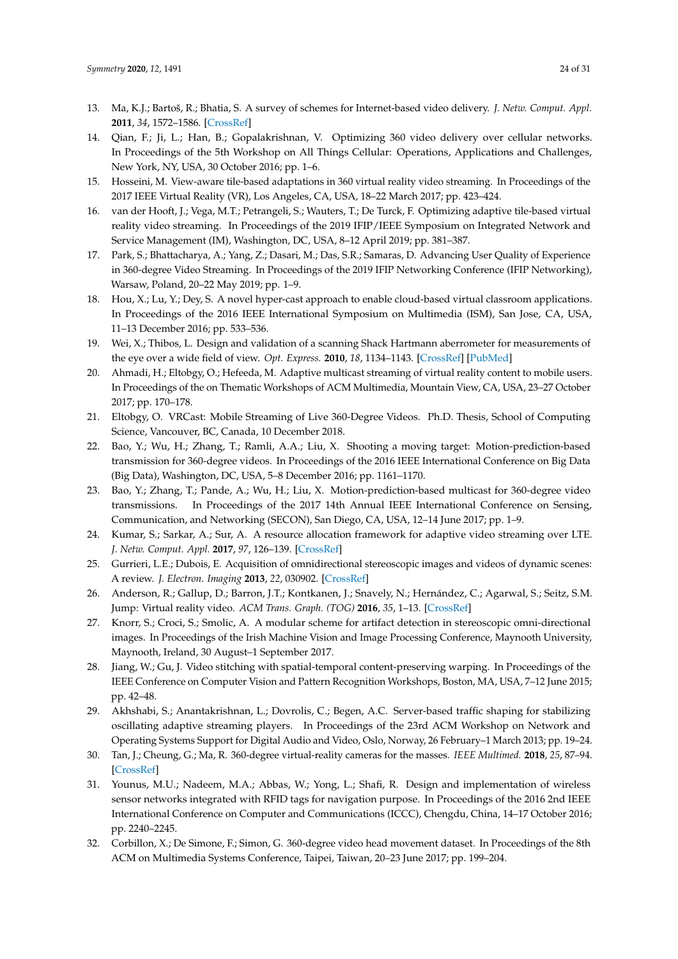- <span id="page-23-0"></span>13. Ma, K.J.; Bartoš, R.; Bhatia, S. A survey of schemes for Internet-based video delivery. *J. Netw. Comput. Appl.* **2011**, *34*, 1572–1586. [\[CrossRef\]](http://dx.doi.org/10.1016/j.jnca.2011.02.001)
- <span id="page-23-1"></span>14. Qian, F.; Ji, L.; Han, B.; Gopalakrishnan, V. Optimizing 360 video delivery over cellular networks. In Proceedings of the 5th Workshop on All Things Cellular: Operations, Applications and Challenges, New York, NY, USA, 30 October 2016; pp. 1–6.
- <span id="page-23-2"></span>15. Hosseini, M. View-aware tile-based adaptations in 360 virtual reality video streaming. In Proceedings of the 2017 IEEE Virtual Reality (VR), Los Angeles, CA, USA, 18–22 March 2017; pp. 423–424.
- <span id="page-23-3"></span>16. van der Hooft, J.; Vega, M.T.; Petrangeli, S.; Wauters, T.; De Turck, F. Optimizing adaptive tile-based virtual reality video streaming. In Proceedings of the 2019 IFIP/IEEE Symposium on Integrated Network and Service Management (IM), Washington, DC, USA, 8–12 April 2019; pp. 381–387.
- <span id="page-23-4"></span>17. Park, S.; Bhattacharya, A.; Yang, Z.; Dasari, M.; Das, S.R.; Samaras, D. Advancing User Quality of Experience in 360-degree Video Streaming. In Proceedings of the 2019 IFIP Networking Conference (IFIP Networking), Warsaw, Poland, 20–22 May 2019; pp. 1–9.
- <span id="page-23-5"></span>18. Hou, X.; Lu, Y.; Dey, S. A novel hyper-cast approach to enable cloud-based virtual classroom applications. In Proceedings of the 2016 IEEE International Symposium on Multimedia (ISM), San Jose, CA, USA, 11–13 December 2016; pp. 533–536.
- <span id="page-23-6"></span>19. Wei, X.; Thibos, L. Design and validation of a scanning Shack Hartmann aberrometer for measurements of the eye over a wide field of view. *Opt. Express.* **2010**, *18*, 1134–1143. [\[CrossRef\]](http://dx.doi.org/10.1364/OE.18.001134) [\[PubMed\]](http://www.ncbi.nlm.nih.gov/pubmed/20173936)
- <span id="page-23-7"></span>20. Ahmadi, H.; Eltobgy, O.; Hefeeda, M. Adaptive multicast streaming of virtual reality content to mobile users. In Proceedings of the on Thematic Workshops of ACM Multimedia, Mountain View, CA, USA, 23–27 October 2017; pp. 170–178.
- <span id="page-23-8"></span>21. Eltobgy, O. VRCast: Mobile Streaming of Live 360-Degree Videos. Ph.D. Thesis, School of Computing Science, Vancouver, BC, Canada, 10 December 2018.
- <span id="page-23-9"></span>22. Bao, Y.; Wu, H.; Zhang, T.; Ramli, A.A.; Liu, X. Shooting a moving target: Motion-prediction-based transmission for 360-degree videos. In Proceedings of the 2016 IEEE International Conference on Big Data (Big Data), Washington, DC, USA, 5–8 December 2016; pp. 1161–1170.
- <span id="page-23-10"></span>23. Bao, Y.; Zhang, T.; Pande, A.; Wu, H.; Liu, X. Motion-prediction-based multicast for 360-degree video transmissions. In Proceedings of the 2017 14th Annual IEEE International Conference on Sensing, Communication, and Networking (SECON), San Diego, CA, USA, 12–14 June 2017; pp. 1–9.
- <span id="page-23-11"></span>24. Kumar, S.; Sarkar, A.; Sur, A. A resource allocation framework for adaptive video streaming over LTE. *J. Netw. Comput. Appl.* **2017**, *97*, 126–139. [\[CrossRef\]](http://dx.doi.org/10.1016/j.jnca.2017.08.015)
- <span id="page-23-12"></span>25. Gurrieri, L.E.; Dubois, E. Acquisition of omnidirectional stereoscopic images and videos of dynamic scenes: A review. *J. Electron. Imaging* **2013**, *22*, 030902. [\[CrossRef\]](http://dx.doi.org/10.1117/1.JEI.22.3.030902)
- <span id="page-23-13"></span>26. Anderson, R.; Gallup, D.; Barron, J.T.; Kontkanen, J.; Snavely, N.; Hernández, C.; Agarwal, S.; Seitz, S.M. Jump: Virtual reality video. *ACM Trans. Graph. (TOG)* **2016**, *35*, 1–13. [\[CrossRef\]](http://dx.doi.org/10.1145/2980179.2980257)
- <span id="page-23-14"></span>27. Knorr, S.; Croci, S.; Smolic, A. A modular scheme for artifact detection in stereoscopic omni-directional images. In Proceedings of the Irish Machine Vision and Image Processing Conference, Maynooth University, Maynooth, Ireland, 30 August–1 September 2017.
- <span id="page-23-15"></span>28. Jiang, W.; Gu, J. Video stitching with spatial-temporal content-preserving warping. In Proceedings of the IEEE Conference on Computer Vision and Pattern Recognition Workshops, Boston, MA, USA, 7–12 June 2015; pp. 42–48.
- <span id="page-23-16"></span>29. Akhshabi, S.; Anantakrishnan, L.; Dovrolis, C.; Begen, A.C. Server-based traffic shaping for stabilizing oscillating adaptive streaming players. In Proceedings of the 23rd ACM Workshop on Network and Operating Systems Support for Digital Audio and Video, Oslo, Norway, 26 February–1 March 2013; pp. 19–24.
- <span id="page-23-17"></span>30. Tan, J.; Cheung, G.; Ma, R. 360-degree virtual-reality cameras for the masses. *IEEE Multimed.* **2018**, *25*, 87–94. [\[CrossRef\]](http://dx.doi.org/10.1109/MMUL.2018.011921238)
- <span id="page-23-18"></span>31. Younus, M.U.; Nadeem, M.A.; Abbas, W.; Yong, L.; Shafi, R. Design and implementation of wireless sensor networks integrated with RFID tags for navigation purpose. In Proceedings of the 2016 2nd IEEE International Conference on Computer and Communications (ICCC), Chengdu, China, 14–17 October 2016; pp. 2240–2245.
- <span id="page-23-19"></span>32. Corbillon, X.; De Simone, F.; Simon, G. 360-degree video head movement dataset. In Proceedings of the 8th ACM on Multimedia Systems Conference, Taipei, Taiwan, 20–23 June 2017; pp. 199–204.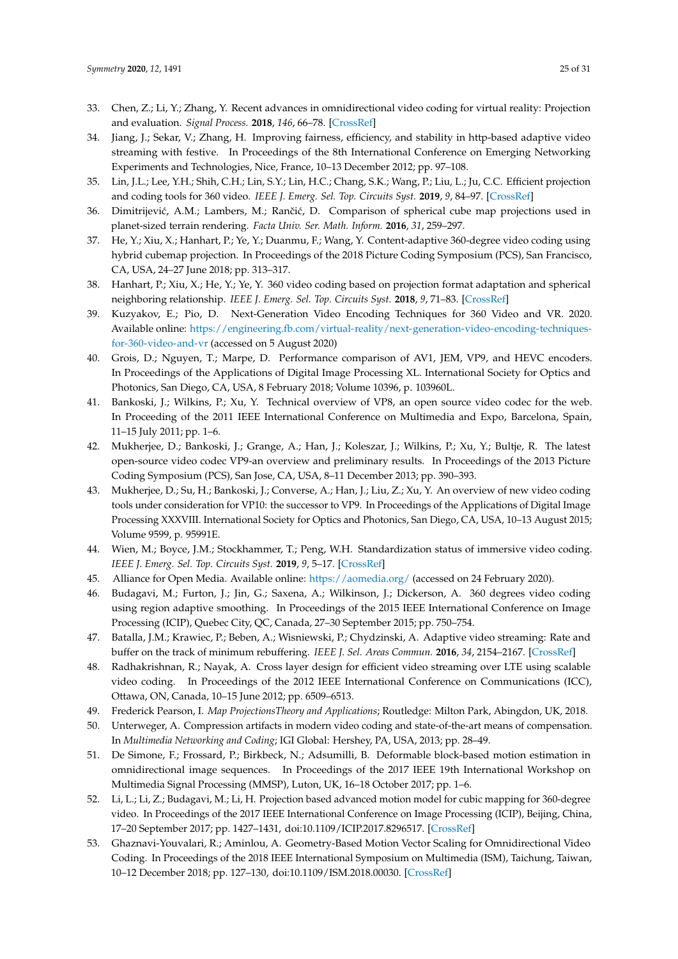- <span id="page-24-0"></span>33. Chen, Z.; Li, Y.; Zhang, Y. Recent advances in omnidirectional video coding for virtual reality: Projection and evaluation. *Signal Process.* **2018**, *146*, 66–78. [\[CrossRef\]](http://dx.doi.org/10.1016/j.sigpro.2018.01.004)
- <span id="page-24-1"></span>34. Jiang, J.; Sekar, V.; Zhang, H. Improving fairness, efficiency, and stability in http-based adaptive video streaming with festive. In Proceedings of the 8th International Conference on Emerging Networking Experiments and Technologies, Nice, France, 10–13 December 2012; pp. 97–108.
- <span id="page-24-2"></span>35. Lin, J.L.; Lee, Y.H.; Shih, C.H.; Lin, S.Y.; Lin, H.C.; Chang, S.K.; Wang, P.; Liu, L.; Ju, C.C. Efficient projection and coding tools for 360 video. *IEEE J. Emerg. Sel. Top. Circuits Syst.* **2019**, *9*, 84–97. [\[CrossRef\]](http://dx.doi.org/10.1109/JETCAS.2019.2899660)
- <span id="page-24-3"></span>36. Dimitrijević, A.M.; Lambers, M.; Rančić, D. Comparison of spherical cube map projections used in planet-sized terrain rendering. *Facta Univ. Ser. Math. Inform.* **2016**, *31*, 259–297.
- <span id="page-24-4"></span>37. He, Y.; Xiu, X.; Hanhart, P.; Ye, Y.; Duanmu, F.; Wang, Y. Content-adaptive 360-degree video coding using hybrid cubemap projection. In Proceedings of the 2018 Picture Coding Symposium (PCS), San Francisco, CA, USA, 24–27 June 2018; pp. 313–317.
- <span id="page-24-5"></span>38. Hanhart, P.; Xiu, X.; He, Y.; Ye, Y. 360 video coding based on projection format adaptation and spherical neighboring relationship. *IEEE J. Emerg. Sel. Top. Circuits Syst.* **2018**, *9*, 71–83. [\[CrossRef\]](http://dx.doi.org/10.1109/JETCAS.2018.2888960)
- <span id="page-24-6"></span>39. Kuzyakov, E.; Pio, D. Next-Generation Video Encoding Techniques for 360 Video and VR. 2020. Available online: [https://engineering.fb.com/virtual-reality/next-generation-video-encoding-techniques]( https://engineering.fb.com/virtual-reality/next-generation-video-encoding-techniques-for-360-video-and-vr)[for-360-video-and-vr]( https://engineering.fb.com/virtual-reality/next-generation-video-encoding-techniques-for-360-video-and-vr) (accessed on 5 August 2020)
- <span id="page-24-7"></span>40. Grois, D.; Nguyen, T.; Marpe, D. Performance comparison of AV1, JEM, VP9, and HEVC encoders. In Proceedings of the Applications of Digital Image Processing XL. International Society for Optics and Photonics, San Diego, CA, USA, 8 February 2018; Volume 10396, p. 103960L.
- <span id="page-24-8"></span>41. Bankoski, J.; Wilkins, P.; Xu, Y. Technical overview of VP8, an open source video codec for the web. In Proceeding of the 2011 IEEE International Conference on Multimedia and Expo, Barcelona, Spain, 11–15 July 2011; pp. 1–6.
- <span id="page-24-9"></span>42. Mukherjee, D.; Bankoski, J.; Grange, A.; Han, J.; Koleszar, J.; Wilkins, P.; Xu, Y.; Bultje, R. The latest open-source video codec VP9-an overview and preliminary results. In Proceedings of the 2013 Picture Coding Symposium (PCS), San Jose, CA, USA, 8–11 December 2013; pp. 390–393.
- <span id="page-24-10"></span>43. Mukherjee, D.; Su, H.; Bankoski, J.; Converse, A.; Han, J.; Liu, Z.; Xu, Y. An overview of new video coding tools under consideration for VP10: the successor to VP9. In Proceedings of the Applications of Digital Image Processing XXXVIII. International Society for Optics and Photonics, San Diego, CA, USA, 10–13 August 2015; Volume 9599, p. 95991E.
- <span id="page-24-11"></span>44. Wien, M.; Boyce, J.M.; Stockhammer, T.; Peng, W.H. Standardization status of immersive video coding. *IEEE J. Emerg. Sel. Top. Circuits Syst.* **2019**, *9*, 5–17. [\[CrossRef\]](http://dx.doi.org/10.1109/JETCAS.2019.2898948)
- <span id="page-24-12"></span>45. Alliance for Open Media. Available online: [https://aomedia.org/]( https://aomedia.org/) (accessed on 24 February 2020).
- <span id="page-24-13"></span>46. Budagavi, M.; Furton, J.; Jin, G.; Saxena, A.; Wilkinson, J.; Dickerson, A. 360 degrees video coding using region adaptive smoothing. In Proceedings of the 2015 IEEE International Conference on Image Processing (ICIP), Quebec City, QC, Canada, 27–30 September 2015; pp. 750–754.
- <span id="page-24-14"></span>47. Batalla, J.M.; Krawiec, P.; Beben, A.; Wisniewski, P.; Chydzinski, A. Adaptive video streaming: Rate and buffer on the track of minimum rebuffering. *IEEE J. Sel. Areas Commun.* **2016**, *34*, 2154–2167. [\[CrossRef\]](http://dx.doi.org/10.1109/JSAC.2016.2577360)
- <span id="page-24-15"></span>48. Radhakrishnan, R.; Nayak, A. Cross layer design for efficient video streaming over LTE using scalable video coding. In Proceedings of the 2012 IEEE International Conference on Communications (ICC), Ottawa, ON, Canada, 10–15 June 2012; pp. 6509–6513.
- <span id="page-24-17"></span><span id="page-24-16"></span>49. Frederick Pearson, I. *Map ProjectionsTheory and Applications*; Routledge: Milton Park, Abingdon, UK, 2018.
- 50. Unterweger, A. Compression artifacts in modern video coding and state-of-the-art means of compensation. In *Multimedia Networking and Coding*; IGI Global: Hershey, PA, USA, 2013; pp. 28–49.
- <span id="page-24-18"></span>51. De Simone, F.; Frossard, P.; Birkbeck, N.; Adsumilli, B. Deformable block-based motion estimation in omnidirectional image sequences. In Proceedings of the 2017 IEEE 19th International Workshop on Multimedia Signal Processing (MMSP), Luton, UK, 16–18 October 2017; pp. 1–6.
- <span id="page-24-19"></span>52. Li, L.; Li, Z.; Budagavi, M.; Li, H. Projection based advanced motion model for cubic mapping for 360-degree video. In Proceedings of the 2017 IEEE International Conference on Image Processing (ICIP), Beijing, China, 17–20 September 2017; pp. 1427–1431, doi[:10.1109/ICIP.2017.8296517.](https://doi.org/10.1109/ICIP.2017.8296517) [\[CrossRef\]](http://dx.doi.org/10.1109/ICIP.2017.8296517)
- <span id="page-24-20"></span>53. Ghaznavi-Youvalari, R.; Aminlou, A. Geometry-Based Motion Vector Scaling for Omnidirectional Video Coding. In Proceedings of the 2018 IEEE International Symposium on Multimedia (ISM), Taichung, Taiwan, 10–12 December 2018; pp. 127–130, doi[:10.1109/ISM.2018.00030.](https://doi.org/10.1109/ISM.2018.00030) [\[CrossRef\]](http://dx.doi.org/10.1109/ISM.2018.00030)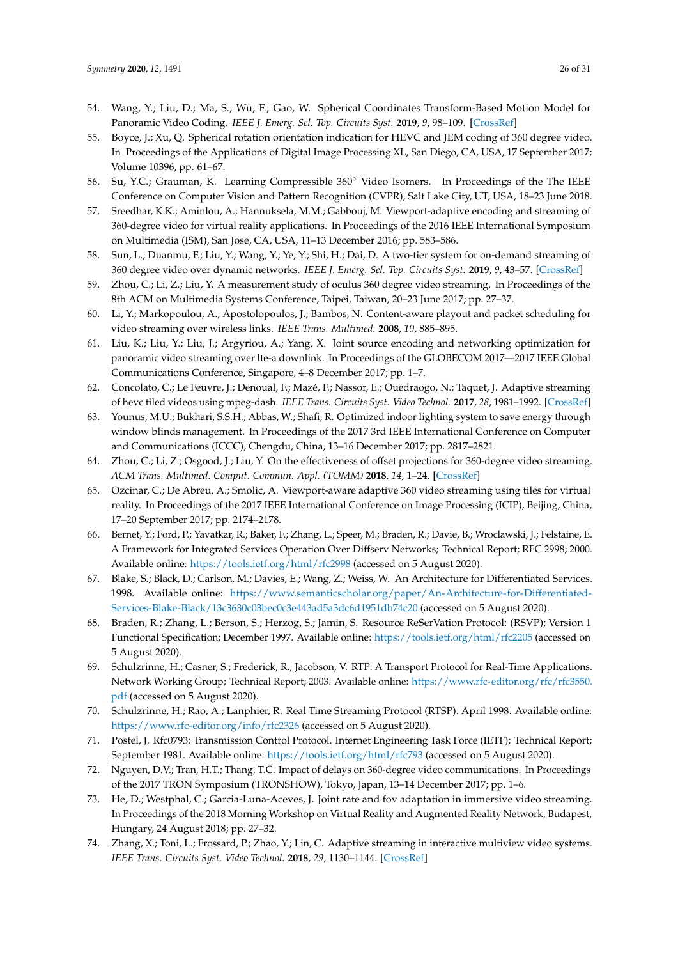- <span id="page-25-0"></span>54. Wang, Y.; Liu, D.; Ma, S.; Wu, F.; Gao, W. Spherical Coordinates Transform-Based Motion Model for Panoramic Video Coding. *IEEE J. Emerg. Sel. Top. Circuits Syst.* **2019**, *9*, 98–109. [\[CrossRef\]](http://dx.doi.org/10.1109/JETCAS.2019.2896265)
- <span id="page-25-1"></span>55. Boyce, J.; Xu, Q. Spherical rotation orientation indication for HEVC and JEM coding of 360 degree video. In Proceedings of the Applications of Digital Image Processing XL, San Diego, CA, USA, 17 September 2017; Volume 10396, pp. 61–67.
- <span id="page-25-2"></span>56. Su, Y.C.; Grauman, K. Learning Compressible 360◦ Video Isomers. In Proceedings of the The IEEE Conference on Computer Vision and Pattern Recognition (CVPR), Salt Lake City, UT, USA, 18–23 June 2018.
- <span id="page-25-3"></span>57. Sreedhar, K.K.; Aminlou, A.; Hannuksela, M.M.; Gabbouj, M. Viewport-adaptive encoding and streaming of 360-degree video for virtual reality applications. In Proceedings of the 2016 IEEE International Symposium on Multimedia (ISM), San Jose, CA, USA, 11–13 December 2016; pp. 583–586.
- <span id="page-25-4"></span>58. Sun, L.; Duanmu, F.; Liu, Y.; Wang, Y.; Ye, Y.; Shi, H.; Dai, D. A two-tier system for on-demand streaming of 360 degree video over dynamic networks. *IEEE J. Emerg. Sel. Top. Circuits Syst.* **2019**, *9*, 43–57. [\[CrossRef\]](http://dx.doi.org/10.1109/JETCAS.2019.2898877)
- <span id="page-25-5"></span>59. Zhou, C.; Li, Z.; Liu, Y. A measurement study of oculus 360 degree video streaming. In Proceedings of the 8th ACM on Multimedia Systems Conference, Taipei, Taiwan, 20–23 June 2017; pp. 27–37.
- <span id="page-25-6"></span>60. Li, Y.; Markopoulou, A.; Apostolopoulos, J.; Bambos, N. Content-aware playout and packet scheduling for video streaming over wireless links. *IEEE Trans. Multimed.* **2008**, *10*, 885–895.
- <span id="page-25-7"></span>61. Liu, K.; Liu, Y.; Liu, J.; Argyriou, A.; Yang, X. Joint source encoding and networking optimization for panoramic video streaming over lte-a downlink. In Proceedings of the GLOBECOM 2017—2017 IEEE Global Communications Conference, Singapore, 4–8 December 2017; pp. 1–7.
- 62. Concolato, C.; Le Feuvre, J.; Denoual, F.; Mazé, F.; Nassor, E.; Ouedraogo, N.; Taquet, J. Adaptive streaming of hevc tiled videos using mpeg-dash. *IEEE Trans. Circuits Syst. Video Technol.* **2017**, *28*, 1981–1992. [\[CrossRef\]](http://dx.doi.org/10.1109/TCSVT.2017.2688491)
- 63. Younus, M.U.; Bukhari, S.S.H.; Abbas, W.; Shafi, R. Optimized indoor lighting system to save energy through window blinds management. In Proceedings of the 2017 3rd IEEE International Conference on Computer and Communications (ICCC), Chengdu, China, 13–16 December 2017; pp. 2817–2821.
- <span id="page-25-8"></span>64. Zhou, C.; Li, Z.; Osgood, J.; Liu, Y. On the effectiveness of offset projections for 360-degree video streaming. *ACM Trans. Multimed. Comput. Commun. Appl. (TOMM)* **2018**, *14*, 1–24. [\[CrossRef\]](http://dx.doi.org/10.1145/3209660)
- <span id="page-25-9"></span>65. Ozcinar, C.; De Abreu, A.; Smolic, A. Viewport-aware adaptive 360 video streaming using tiles for virtual reality. In Proceedings of the 2017 IEEE International Conference on Image Processing (ICIP), Beijing, China, 17–20 September 2017; pp. 2174–2178.
- <span id="page-25-10"></span>66. Bernet, Y.; Ford, P.; Yavatkar, R.; Baker, F.; Zhang, L.; Speer, M.; Braden, R.; Davie, B.; Wroclawski, J.; Felstaine, E. A Framework for Integrated Services Operation Over Diffserv Networks; Technical Report; RFC 2998; 2000. Available online: <https://tools.ietf.org/html/rfc2998> (accessed on 5 August 2020).
- <span id="page-25-11"></span>67. Blake, S.; Black, D.; Carlson, M.; Davies, E.; Wang, Z.; Weiss, W. An Architecture for Differentiated Services. 1998. Available online: [https://www.semanticscholar.org/paper/An-Architecture-for-Differentiated-](https://www.semanticscholar.org/paper/An-Architecture-for-Differentiated-Services-Blake-Black/13c3630c03bec0c3e443ad5a3dc6d1951db74c20)[Services-Blake-Black/13c3630c03bec0c3e443ad5a3dc6d1951db74c20](https://www.semanticscholar.org/paper/An-Architecture-for-Differentiated-Services-Blake-Black/13c3630c03bec0c3e443ad5a3dc6d1951db74c20) (accessed on 5 August 2020).
- <span id="page-25-12"></span>68. Braden, R.; Zhang, L.; Berson, S.; Herzog, S.; Jamin, S. Resource ReSerVation Protocol: (RSVP); Version 1 Functional Specification; December 1997. Available online: <https://tools.ietf.org/html/rfc2205> (accessed on 5 August 2020).
- <span id="page-25-13"></span>69. Schulzrinne, H.; Casner, S.; Frederick, R.; Jacobson, V. RTP: A Transport Protocol for Real-Time Applications. Network Working Group; Technical Report; 2003. Available online: [https://www.rfc-editor.org/rfc/rfc3550.](https://www.rfc-editor.org/rfc/rfc3550.pdf) [pdf](https://www.rfc-editor.org/rfc/rfc3550.pdf) (accessed on 5 August 2020).
- <span id="page-25-14"></span>70. Schulzrinne, H.; Rao, A.; Lanphier, R. Real Time Streaming Protocol (RTSP). April 1998. Available online: <https://www.rfc-editor.org/info/rfc2326> (accessed on 5 August 2020).
- <span id="page-25-15"></span>71. Postel, J. Rfc0793: Transmission Control Protocol. Internet Engineering Task Force (IETF); Technical Report; September 1981. Available online: <https://tools.ietf.org/html/rfc793> (accessed on 5 August 2020).
- <span id="page-25-16"></span>72. Nguyen, D.V.; Tran, H.T.; Thang, T.C. Impact of delays on 360-degree video communications. In Proceedings of the 2017 TRON Symposium (TRONSHOW), Tokyo, Japan, 13–14 December 2017; pp. 1–6.
- <span id="page-25-17"></span>73. He, D.; Westphal, C.; Garcia-Luna-Aceves, J. Joint rate and fov adaptation in immersive video streaming. In Proceedings of the 2018 Morning Workshop on Virtual Reality and Augmented Reality Network, Budapest, Hungary, 24 August 2018; pp. 27–32.
- <span id="page-25-18"></span>74. Zhang, X.; Toni, L.; Frossard, P.; Zhao, Y.; Lin, C. Adaptive streaming in interactive multiview video systems. *IEEE Trans. Circuits Syst. Video Technol.* **2018**, *29*, 1130–1144. [\[CrossRef\]](http://dx.doi.org/10.1109/TCSVT.2018.2819804)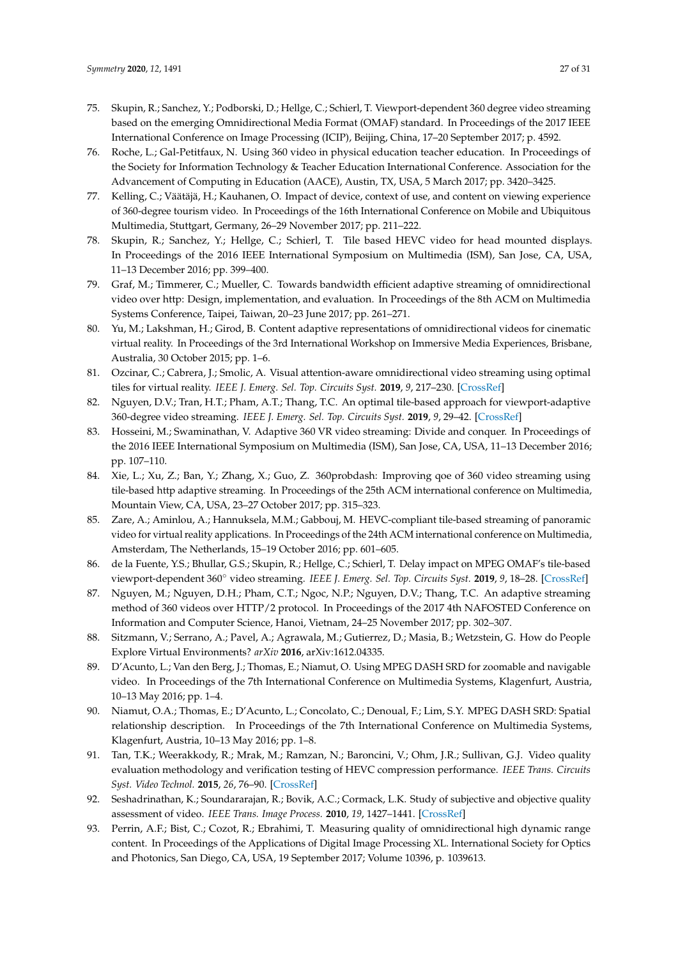- <span id="page-26-0"></span>75. Skupin, R.; Sanchez, Y.; Podborski, D.; Hellge, C.; Schierl, T. Viewport-dependent 360 degree video streaming based on the emerging Omnidirectional Media Format (OMAF) standard. In Proceedings of the 2017 IEEE International Conference on Image Processing (ICIP), Beijing, China, 17–20 September 2017; p. 4592.
- <span id="page-26-1"></span>76. Roche, L.; Gal-Petitfaux, N. Using 360 video in physical education teacher education. In Proceedings of the Society for Information Technology & Teacher Education International Conference. Association for the Advancement of Computing in Education (AACE), Austin, TX, USA, 5 March 2017; pp. 3420–3425.
- <span id="page-26-2"></span>77. Kelling, C.; Väätäjä, H.; Kauhanen, O. Impact of device, context of use, and content on viewing experience of 360-degree tourism video. In Proceedings of the 16th International Conference on Mobile and Ubiquitous Multimedia, Stuttgart, Germany, 26–29 November 2017; pp. 211–222.
- <span id="page-26-3"></span>78. Skupin, R.; Sanchez, Y.; Hellge, C.; Schierl, T. Tile based HEVC video for head mounted displays. In Proceedings of the 2016 IEEE International Symposium on Multimedia (ISM), San Jose, CA, USA, 11–13 December 2016; pp. 399–400.
- <span id="page-26-4"></span>79. Graf, M.; Timmerer, C.; Mueller, C. Towards bandwidth efficient adaptive streaming of omnidirectional video over http: Design, implementation, and evaluation. In Proceedings of the 8th ACM on Multimedia Systems Conference, Taipei, Taiwan, 20–23 June 2017; pp. 261–271.
- <span id="page-26-5"></span>80. Yu, M.; Lakshman, H.; Girod, B. Content adaptive representations of omnidirectional videos for cinematic virtual reality. In Proceedings of the 3rd International Workshop on Immersive Media Experiences, Brisbane, Australia, 30 October 2015; pp. 1–6.
- <span id="page-26-6"></span>81. Ozcinar, C.; Cabrera, J.; Smolic, A. Visual attention-aware omnidirectional video streaming using optimal tiles for virtual reality. *IEEE J. Emerg. Sel. Top. Circuits Syst.* **2019**, *9*, 217–230. [\[CrossRef\]](http://dx.doi.org/10.1109/JETCAS.2019.2895096)
- 82. Nguyen, D.V.; Tran, H.T.; Pham, A.T.; Thang, T.C. An optimal tile-based approach for viewport-adaptive 360-degree video streaming. *IEEE J. Emerg. Sel. Top. Circuits Syst.* **2019**, *9*, 29–42. [\[CrossRef\]](http://dx.doi.org/10.1109/JETCAS.2019.2899488)
- <span id="page-26-7"></span>83. Hosseini, M.; Swaminathan, V. Adaptive 360 VR video streaming: Divide and conquer. In Proceedings of the 2016 IEEE International Symposium on Multimedia (ISM), San Jose, CA, USA, 11–13 December 2016; pp. 107–110.
- <span id="page-26-8"></span>84. Xie, L.; Xu, Z.; Ban, Y.; Zhang, X.; Guo, Z. 360probdash: Improving qoe of 360 video streaming using tile-based http adaptive streaming. In Proceedings of the 25th ACM international conference on Multimedia, Mountain View, CA, USA, 23–27 October 2017; pp. 315–323.
- <span id="page-26-9"></span>85. Zare, A.; Aminlou, A.; Hannuksela, M.M.; Gabbouj, M. HEVC-compliant tile-based streaming of panoramic video for virtual reality applications. In Proceedings of the 24th ACM international conference on Multimedia, Amsterdam, The Netherlands, 15–19 October 2016; pp. 601–605.
- <span id="page-26-10"></span>86. de la Fuente, Y.S.; Bhullar, G.S.; Skupin, R.; Hellge, C.; Schierl, T. Delay impact on MPEG OMAF's tile-based viewport-dependent 360◦ video streaming. *IEEE J. Emerg. Sel. Top. Circuits Syst.* **2019**, *9*, 18–28. [\[CrossRef\]](http://dx.doi.org/10.1109/JETCAS.2019.2899516)
- <span id="page-26-11"></span>87. Nguyen, M.; Nguyen, D.H.; Pham, C.T.; Ngoc, N.P.; Nguyen, D.V.; Thang, T.C. An adaptive streaming method of 360 videos over HTTP/2 protocol. In Proceedings of the 2017 4th NAFOSTED Conference on Information and Computer Science, Hanoi, Vietnam, 24–25 November 2017; pp. 302–307.
- <span id="page-26-12"></span>88. Sitzmann, V.; Serrano, A.; Pavel, A.; Agrawala, M.; Gutierrez, D.; Masia, B.; Wetzstein, G. How do People Explore Virtual Environments? *arXiv* **2016**, arXiv:1612.04335.
- <span id="page-26-13"></span>89. D'Acunto, L.; Van den Berg, J.; Thomas, E.; Niamut, O. Using MPEG DASH SRD for zoomable and navigable video. In Proceedings of the 7th International Conference on Multimedia Systems, Klagenfurt, Austria, 10–13 May 2016; pp. 1–4.
- <span id="page-26-14"></span>90. Niamut, O.A.; Thomas, E.; D'Acunto, L.; Concolato, C.; Denoual, F.; Lim, S.Y. MPEG DASH SRD: Spatial relationship description. In Proceedings of the 7th International Conference on Multimedia Systems, Klagenfurt, Austria, 10–13 May 2016; pp. 1–8.
- <span id="page-26-15"></span>91. Tan, T.K.; Weerakkody, R.; Mrak, M.; Ramzan, N.; Baroncini, V.; Ohm, J.R.; Sullivan, G.J. Video quality evaluation methodology and verification testing of HEVC compression performance. *IEEE Trans. Circuits Syst. Video Technol.* **2015**, *26*, 76–90. [\[CrossRef\]](http://dx.doi.org/10.1109/TCSVT.2015.2477916)
- <span id="page-26-16"></span>92. Seshadrinathan, K.; Soundararajan, R.; Bovik, A.C.; Cormack, L.K. Study of subjective and objective quality assessment of video. *IEEE Trans. Image Process.* **2010**, *19*, 1427–1441. [\[CrossRef\]](http://dx.doi.org/10.1109/TIP.2010.2042111)
- <span id="page-26-17"></span>93. Perrin, A.F.; Bist, C.; Cozot, R.; Ebrahimi, T. Measuring quality of omnidirectional high dynamic range content. In Proceedings of the Applications of Digital Image Processing XL. International Society for Optics and Photonics, San Diego, CA, USA, 19 September 2017; Volume 10396, p. 1039613.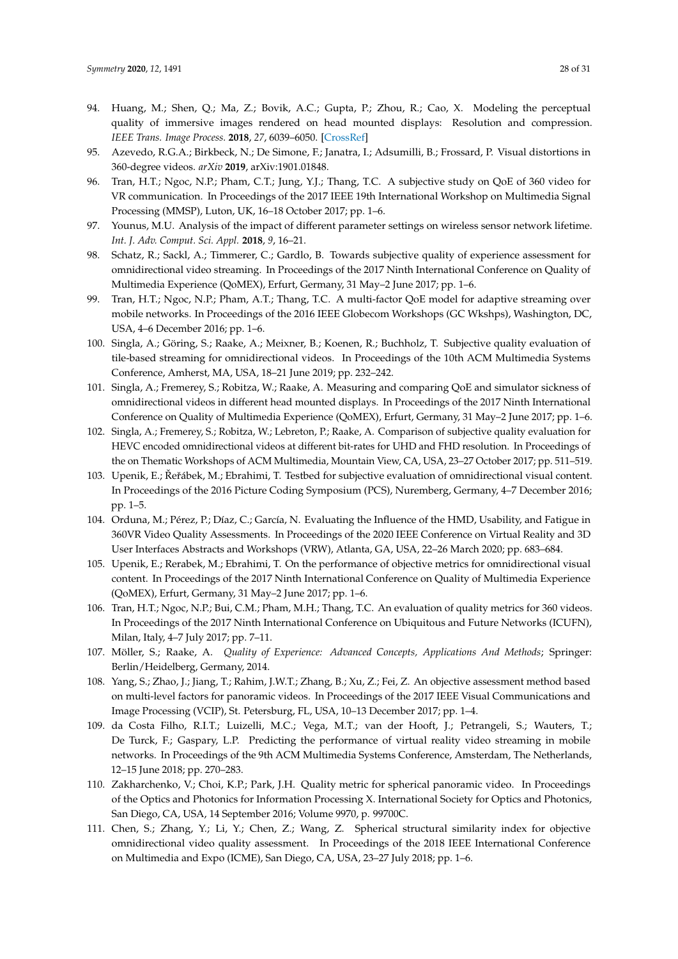- <span id="page-27-0"></span>94. Huang, M.; Shen, Q.; Ma, Z.; Bovik, A.C.; Gupta, P.; Zhou, R.; Cao, X. Modeling the perceptual quality of immersive images rendered on head mounted displays: Resolution and compression. *IEEE Trans. Image Process.* **2018**, *27*, 6039–6050. [\[CrossRef\]](http://dx.doi.org/10.1109/TIP.2018.2865089)
- <span id="page-27-1"></span>95. Azevedo, R.G.A.; Birkbeck, N.; De Simone, F.; Janatra, I.; Adsumilli, B.; Frossard, P. Visual distortions in 360-degree videos. *arXiv* **2019**, arXiv:1901.01848.
- <span id="page-27-2"></span>96. Tran, H.T.; Ngoc, N.P.; Pham, C.T.; Jung, Y.J.; Thang, T.C. A subjective study on QoE of 360 video for VR communication. In Proceedings of the 2017 IEEE 19th International Workshop on Multimedia Signal Processing (MMSP), Luton, UK, 16–18 October 2017; pp. 1–6.
- <span id="page-27-3"></span>97. Younus, M.U. Analysis of the impact of different parameter settings on wireless sensor network lifetime. *Int. J. Adv. Comput. Sci. Appl.* **2018**, *9*, 16–21.
- <span id="page-27-4"></span>98. Schatz, R.; Sackl, A.; Timmerer, C.; Gardlo, B. Towards subjective quality of experience assessment for omnidirectional video streaming. In Proceedings of the 2017 Ninth International Conference on Quality of Multimedia Experience (QoMEX), Erfurt, Germany, 31 May–2 June 2017; pp. 1–6.
- <span id="page-27-5"></span>99. Tran, H.T.; Ngoc, N.P.; Pham, A.T.; Thang, T.C. A multi-factor QoE model for adaptive streaming over mobile networks. In Proceedings of the 2016 IEEE Globecom Workshops (GC Wkshps), Washington, DC, USA, 4–6 December 2016; pp. 1–6.
- <span id="page-27-6"></span>100. Singla, A.; Göring, S.; Raake, A.; Meixner, B.; Koenen, R.; Buchholz, T. Subjective quality evaluation of tile-based streaming for omnidirectional videos. In Proceedings of the 10th ACM Multimedia Systems Conference, Amherst, MA, USA, 18–21 June 2019; pp. 232–242.
- <span id="page-27-7"></span>101. Singla, A.; Fremerey, S.; Robitza, W.; Raake, A. Measuring and comparing QoE and simulator sickness of omnidirectional videos in different head mounted displays. In Proceedings of the 2017 Ninth International Conference on Quality of Multimedia Experience (QoMEX), Erfurt, Germany, 31 May–2 June 2017; pp. 1–6.
- <span id="page-27-8"></span>102. Singla, A.; Fremerey, S.; Robitza, W.; Lebreton, P.; Raake, A. Comparison of subjective quality evaluation for HEVC encoded omnidirectional videos at different bit-rates for UHD and FHD resolution. In Proceedings of the on Thematic Workshops of ACM Multimedia, Mountain View, CA, USA, 23–27 October 2017; pp. 511–519.
- <span id="page-27-9"></span>103. Upenik, E.; Řeřábek, M.; Ebrahimi, T. Testbed for subjective evaluation of omnidirectional visual content. In Proceedings of the 2016 Picture Coding Symposium (PCS), Nuremberg, Germany, 4–7 December 2016; pp. 1–5.
- <span id="page-27-10"></span>104. Orduna, M.; Pérez, P.; Díaz, C.; García, N. Evaluating the Influence of the HMD, Usability, and Fatigue in 360VR Video Quality Assessments. In Proceedings of the 2020 IEEE Conference on Virtual Reality and 3D User Interfaces Abstracts and Workshops (VRW), Atlanta, GA, USA, 22–26 March 2020; pp. 683–684.
- <span id="page-27-11"></span>105. Upenik, E.; Rerabek, M.; Ebrahimi, T. On the performance of objective metrics for omnidirectional visual content. In Proceedings of the 2017 Ninth International Conference on Quality of Multimedia Experience (QoMEX), Erfurt, Germany, 31 May–2 June 2017; pp. 1–6.
- <span id="page-27-12"></span>106. Tran, H.T.; Ngoc, N.P.; Bui, C.M.; Pham, M.H.; Thang, T.C. An evaluation of quality metrics for 360 videos. In Proceedings of the 2017 Ninth International Conference on Ubiquitous and Future Networks (ICUFN), Milan, Italy, 4–7 July 2017; pp. 7–11.
- <span id="page-27-13"></span>107. Möller, S.; Raake, A. *Quality of Experience: Advanced Concepts, Applications And Methods*; Springer: Berlin/Heidelberg, Germany, 2014.
- <span id="page-27-14"></span>108. Yang, S.; Zhao, J.; Jiang, T.; Rahim, J.W.T.; Zhang, B.; Xu, Z.; Fei, Z. An objective assessment method based on multi-level factors for panoramic videos. In Proceedings of the 2017 IEEE Visual Communications and Image Processing (VCIP), St. Petersburg, FL, USA, 10–13 December 2017; pp. 1–4.
- <span id="page-27-15"></span>109. da Costa Filho, R.I.T.; Luizelli, M.C.; Vega, M.T.; van der Hooft, J.; Petrangeli, S.; Wauters, T.; De Turck, F.; Gaspary, L.P. Predicting the performance of virtual reality video streaming in mobile networks. In Proceedings of the 9th ACM Multimedia Systems Conference, Amsterdam, The Netherlands, 12–15 June 2018; pp. 270–283.
- <span id="page-27-16"></span>110. Zakharchenko, V.; Choi, K.P.; Park, J.H. Quality metric for spherical panoramic video. In Proceedings of the Optics and Photonics for Information Processing X. International Society for Optics and Photonics, San Diego, CA, USA, 14 September 2016; Volume 9970, p. 99700C.
- <span id="page-27-17"></span>111. Chen, S.; Zhang, Y.; Li, Y.; Chen, Z.; Wang, Z. Spherical structural similarity index for objective omnidirectional video quality assessment. In Proceedings of the 2018 IEEE International Conference on Multimedia and Expo (ICME), San Diego, CA, USA, 23–27 July 2018; pp. 1–6.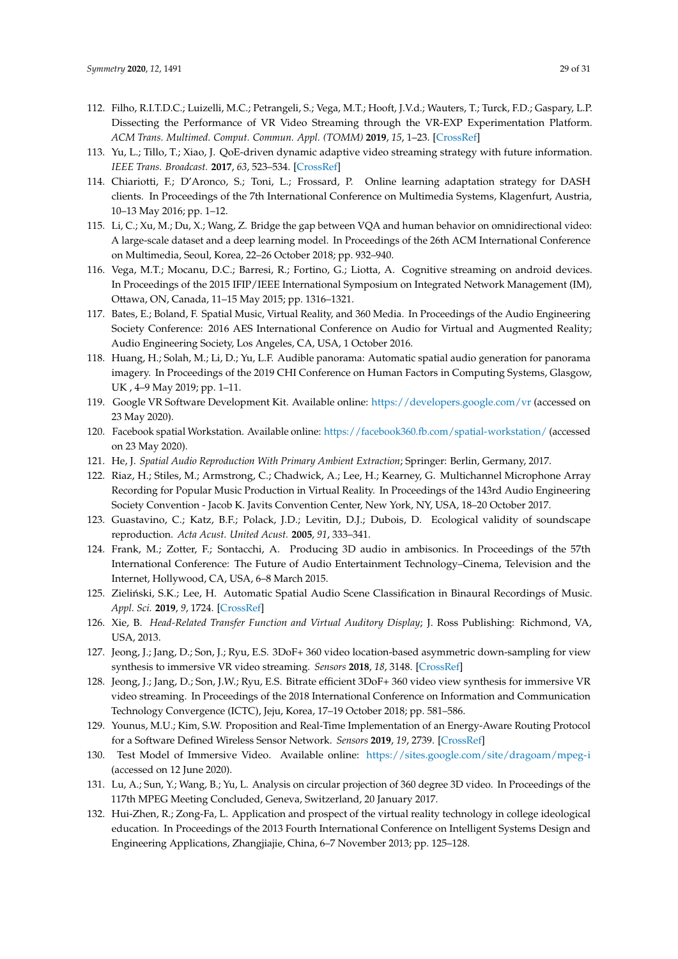- <span id="page-28-0"></span>112. Filho, R.I.T.D.C.; Luizelli, M.C.; Petrangeli, S.; Vega, M.T.; Hooft, J.V.d.; Wauters, T.; Turck, F.D.; Gaspary, L.P. Dissecting the Performance of VR Video Streaming through the VR-EXP Experimentation Platform. *ACM Trans. Multimed. Comput. Commun. Appl. (TOMM)* **2019**, *15*, 1–23. [\[CrossRef\]](http://dx.doi.org/10.1145/3360286)
- <span id="page-28-1"></span>113. Yu, L.; Tillo, T.; Xiao, J. QoE-driven dynamic adaptive video streaming strategy with future information. *IEEE Trans. Broadcast.* **2017**, *63*, 523–534. [\[CrossRef\]](http://dx.doi.org/10.1109/TBC.2017.2687698)
- <span id="page-28-2"></span>114. Chiariotti, F.; D'Aronco, S.; Toni, L.; Frossard, P. Online learning adaptation strategy for DASH clients. In Proceedings of the 7th International Conference on Multimedia Systems, Klagenfurt, Austria, 10–13 May 2016; pp. 1–12.
- <span id="page-28-3"></span>115. Li, C.; Xu, M.; Du, X.; Wang, Z. Bridge the gap between VQA and human behavior on omnidirectional video: A large-scale dataset and a deep learning model. In Proceedings of the 26th ACM International Conference on Multimedia, Seoul, Korea, 22–26 October 2018; pp. 932–940.
- <span id="page-28-4"></span>116. Vega, M.T.; Mocanu, D.C.; Barresi, R.; Fortino, G.; Liotta, A. Cognitive streaming on android devices. In Proceedings of the 2015 IFIP/IEEE International Symposium on Integrated Network Management (IM), Ottawa, ON, Canada, 11–15 May 2015; pp. 1316–1321.
- <span id="page-28-5"></span>117. Bates, E.; Boland, F. Spatial Music, Virtual Reality, and 360 Media. In Proceedings of the Audio Engineering Society Conference: 2016 AES International Conference on Audio for Virtual and Augmented Reality; Audio Engineering Society, Los Angeles, CA, USA, 1 October 2016.
- <span id="page-28-6"></span>118. Huang, H.; Solah, M.; Li, D.; Yu, L.F. Audible panorama: Automatic spatial audio generation for panorama imagery. In Proceedings of the 2019 CHI Conference on Human Factors in Computing Systems, Glasgow, UK , 4–9 May 2019; pp. 1–11.
- <span id="page-28-7"></span>119. Google VR Software Development Kit. Available online: [https://developers.google.com/vr]( https://developers.google.com/vr) (accessed on 23 May 2020).
- <span id="page-28-8"></span>120. Facebook spatial Workstation. Available online: [https://facebook360.fb.com/spatial-workstation/]( https://facebook360.fb.com/spatial-workstation/) (accessed on 23 May 2020).
- <span id="page-28-9"></span>121. He, J. *Spatial Audio Reproduction With Primary Ambient Extraction*; Springer: Berlin, Germany, 2017.
- <span id="page-28-10"></span>122. Riaz, H.; Stiles, M.; Armstrong, C.; Chadwick, A.; Lee, H.; Kearney, G. Multichannel Microphone Array Recording for Popular Music Production in Virtual Reality. In Proceedings of the 143rd Audio Engineering Society Convention - Jacob K. Javits Convention Center, New York, NY, USA, 18–20 October 2017.
- <span id="page-28-11"></span>123. Guastavino, C.; Katz, B.F.; Polack, J.D.; Levitin, D.J.; Dubois, D. Ecological validity of soundscape reproduction. *Acta Acust. United Acust.* **2005**, *91*, 333–341.
- <span id="page-28-12"></span>124. Frank, M.; Zotter, F.; Sontacchi, A. Producing 3D audio in ambisonics. In Proceedings of the 57th International Conference: The Future of Audio Entertainment Technology–Cinema, Television and the Internet, Hollywood, CA, USA, 6–8 March 2015.
- <span id="page-28-13"></span>125. Zieliński, S.K.; Lee, H. Automatic Spatial Audio Scene Classification in Binaural Recordings of Music. *Appl. Sci.* **2019**, *9*, 1724. [\[CrossRef\]](http://dx.doi.org/10.3390/app9091724)
- <span id="page-28-14"></span>126. Xie, B. *Head-Related Transfer Function and Virtual Auditory Display*; J. Ross Publishing: Richmond, VA, USA, 2013.
- <span id="page-28-15"></span>127. Jeong, J.; Jang, D.; Son, J.; Ryu, E.S. 3DoF+ 360 video location-based asymmetric down-sampling for view synthesis to immersive VR video streaming. *Sensors* **2018**, *18*, 3148. [\[CrossRef\]](http://dx.doi.org/10.3390/s18093148)
- <span id="page-28-16"></span>128. Jeong, J.; Jang, D.; Son, J.W.; Ryu, E.S. Bitrate efficient 3DoF+ 360 video view synthesis for immersive VR video streaming. In Proceedings of the 2018 International Conference on Information and Communication Technology Convergence (ICTC), Jeju, Korea, 17–19 October 2018; pp. 581–586.
- <span id="page-28-17"></span>129. Younus, M.U.; Kim, S.W. Proposition and Real-Time Implementation of an Energy-Aware Routing Protocol for a Software Defined Wireless Sensor Network. *Sensors* **2019**, *19*, 2739. [\[CrossRef\]](http://dx.doi.org/10.3390/s19122739)
- <span id="page-28-18"></span>130. Test Model of Immersive Video. Available online: [https://sites.google.com/site/dragoam/mpeg-i]( https://sites.google.com/site/dragoam/mpeg-i) (accessed on 12 June 2020).
- <span id="page-28-19"></span>131. Lu, A.; Sun, Y.; Wang, B.; Yu, L. Analysis on circular projection of 360 degree 3D video. In Proceedings of the 117th MPEG Meeting Concluded, Geneva, Switzerland, 20 January 2017.
- <span id="page-28-20"></span>132. Hui-Zhen, R.; Zong-Fa, L. Application and prospect of the virtual reality technology in college ideological education. In Proceedings of the 2013 Fourth International Conference on Intelligent Systems Design and Engineering Applications, Zhangjiajie, China, 6–7 November 2013; pp. 125–128.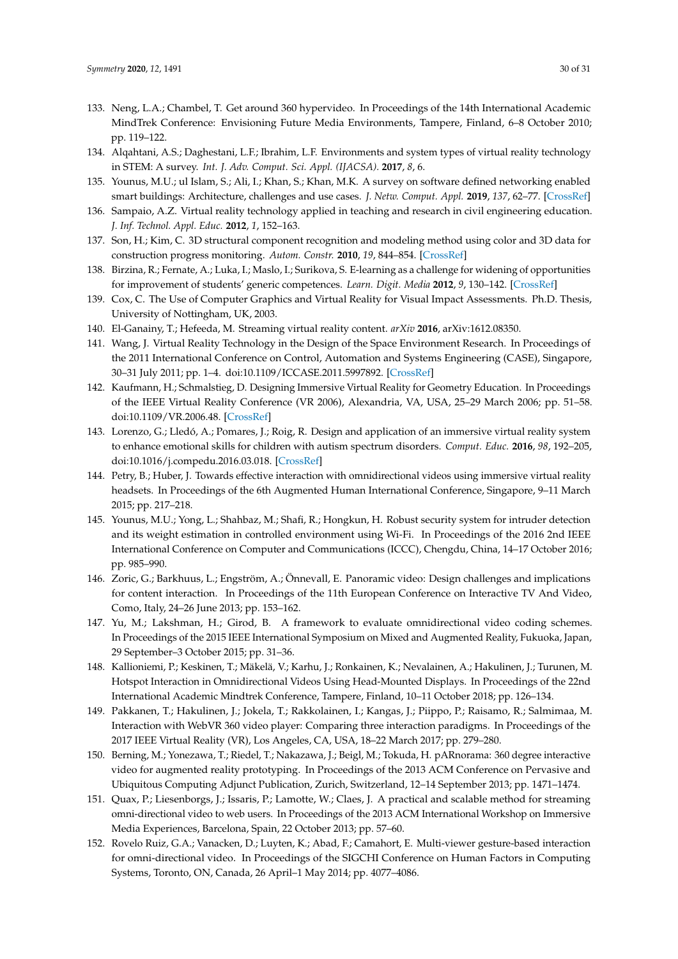- <span id="page-29-0"></span>133. Neng, L.A.; Chambel, T. Get around 360 hypervideo. In Proceedings of the 14th International Academic MindTrek Conference: Envisioning Future Media Environments, Tampere, Finland, 6–8 October 2010; pp. 119–122.
- <span id="page-29-1"></span>134. Alqahtani, A.S.; Daghestani, L.F.; Ibrahim, L.F. Environments and system types of virtual reality technology in STEM: A survey. *Int. J. Adv. Comput. Sci. Appl. (IJACSA).* **2017**, *8*, 6.
- <span id="page-29-2"></span>135. Younus, M.U.; ul Islam, S.; Ali, I.; Khan, S.; Khan, M.K. A survey on software defined networking enabled smart buildings: Architecture, challenges and use cases. *J. Netw. Comput. Appl.* **2019**, *137*, 62–77. [\[CrossRef\]](http://dx.doi.org/10.1016/j.jnca.2019.04.002)
- <span id="page-29-3"></span>136. Sampaio, A.Z. Virtual reality technology applied in teaching and research in civil engineering education. *J. Inf. Technol. Appl. Educ.* **2012**, *1*, 152–163.
- <span id="page-29-4"></span>137. Son, H.; Kim, C. 3D structural component recognition and modeling method using color and 3D data for construction progress monitoring. *Autom. Constr.* **2010**, *19*, 844–854. [\[CrossRef\]](http://dx.doi.org/10.1016/j.autcon.2010.03.003)
- <span id="page-29-5"></span>138. Birzina, R.; Fernate, A.; Luka, I.; Maslo, I.; Surikova, S. E-learning as a challenge for widening of opportunities for improvement of students' generic competences. *Learn. Digit. Media* **2012**, *9*, 130–142. [\[CrossRef\]](http://dx.doi.org/10.2304/elea.2012.9.2.130)
- <span id="page-29-6"></span>139. Cox, C. The Use of Computer Graphics and Virtual Reality for Visual Impact Assessments. Ph.D. Thesis, University of Nottingham, UK, 2003.
- <span id="page-29-7"></span>140. El-Ganainy, T.; Hefeeda, M. Streaming virtual reality content. *arXiv* **2016**, arXiv:1612.08350.
- <span id="page-29-8"></span>141. Wang, J. Virtual Reality Technology in the Design of the Space Environment Research. In Proceedings of the 2011 International Conference on Control, Automation and Systems Engineering (CASE), Singapore, 30–31 July 2011; pp. 1–4. doi[:10.1109/ICCASE.2011.5997892.](https://doi.org/10.1109/ICCASE.2011.5997892) [\[CrossRef\]](http://dx.doi.org/10.1109/ICCASE.2011.5997892)
- <span id="page-29-9"></span>142. Kaufmann, H.; Schmalstieg, D. Designing Immersive Virtual Reality for Geometry Education. In Proceedings of the IEEE Virtual Reality Conference (VR 2006), Alexandria, VA, USA, 25–29 March 2006; pp. 51–58. doi[:10.1109/VR.2006.48.](https://doi.org/10.1109/VR.2006.48) [\[CrossRef\]](http://dx.doi.org/10.1109/VR.2006.48)
- <span id="page-29-10"></span>143. Lorenzo, G.; Lledó, A.; Pomares, J.; Roig, R. Design and application of an immersive virtual reality system to enhance emotional skills for children with autism spectrum disorders. *Comput. Educ.* **2016**, *98*, 192–205, doi[:10.1016/j.compedu.2016.03.018.](https://doi.org/https://doi.org/10.1016/j.compedu.2016.03.018) [\[CrossRef\]](http://dx.doi.org/10.1016/j.compedu.2016.03.018)
- <span id="page-29-11"></span>144. Petry, B.; Huber, J. Towards effective interaction with omnidirectional videos using immersive virtual reality headsets. In Proceedings of the 6th Augmented Human International Conference, Singapore, 9-11 March 2015; pp. 217–218.
- <span id="page-29-12"></span>145. Younus, M.U.; Yong, L.; Shahbaz, M.; Shafi, R.; Hongkun, H. Robust security system for intruder detection and its weight estimation in controlled environment using Wi-Fi. In Proceedings of the 2016 2nd IEEE International Conference on Computer and Communications (ICCC), Chengdu, China, 14–17 October 2016; pp. 985–990.
- <span id="page-29-13"></span>146. Zoric, G.; Barkhuus, L.; Engström, A.; Önnevall, E. Panoramic video: Design challenges and implications for content interaction. In Proceedings of the 11th European Conference on Interactive TV And Video, Como, Italy, 24–26 June 2013; pp. 153–162.
- <span id="page-29-14"></span>147. Yu, M.; Lakshman, H.; Girod, B. A framework to evaluate omnidirectional video coding schemes. In Proceedings of the 2015 IEEE International Symposium on Mixed and Augmented Reality, Fukuoka, Japan, 29 September–3 October 2015; pp. 31–36.
- <span id="page-29-15"></span>148. Kallioniemi, P.; Keskinen, T.; Mäkelä, V.; Karhu, J.; Ronkainen, K.; Nevalainen, A.; Hakulinen, J.; Turunen, M. Hotspot Interaction in Omnidirectional Videos Using Head-Mounted Displays. In Proceedings of the 22nd International Academic Mindtrek Conference, Tampere, Finland, 10–11 October 2018; pp. 126–134.
- <span id="page-29-16"></span>149. Pakkanen, T.; Hakulinen, J.; Jokela, T.; Rakkolainen, I.; Kangas, J.; Piippo, P.; Raisamo, R.; Salmimaa, M. Interaction with WebVR 360 video player: Comparing three interaction paradigms. In Proceedings of the 2017 IEEE Virtual Reality (VR), Los Angeles, CA, USA, 18–22 March 2017; pp. 279–280.
- <span id="page-29-17"></span>150. Berning, M.; Yonezawa, T.; Riedel, T.; Nakazawa, J.; Beigl, M.; Tokuda, H. pARnorama: 360 degree interactive video for augmented reality prototyping. In Proceedings of the 2013 ACM Conference on Pervasive and Ubiquitous Computing Adjunct Publication, Zurich, Switzerland, 12–14 September 2013; pp. 1471–1474.
- <span id="page-29-18"></span>151. Quax, P.; Liesenborgs, J.; Issaris, P.; Lamotte, W.; Claes, J. A practical and scalable method for streaming omni-directional video to web users. In Proceedings of the 2013 ACM International Workshop on Immersive Media Experiences, Barcelona, Spain, 22 October 2013; pp. 57–60.
- <span id="page-29-19"></span>152. Rovelo Ruiz, G.A.; Vanacken, D.; Luyten, K.; Abad, F.; Camahort, E. Multi-viewer gesture-based interaction for omni-directional video. In Proceedings of the SIGCHI Conference on Human Factors in Computing Systems, Toronto, ON, Canada, 26 April–1 May 2014; pp. 4077–4086.